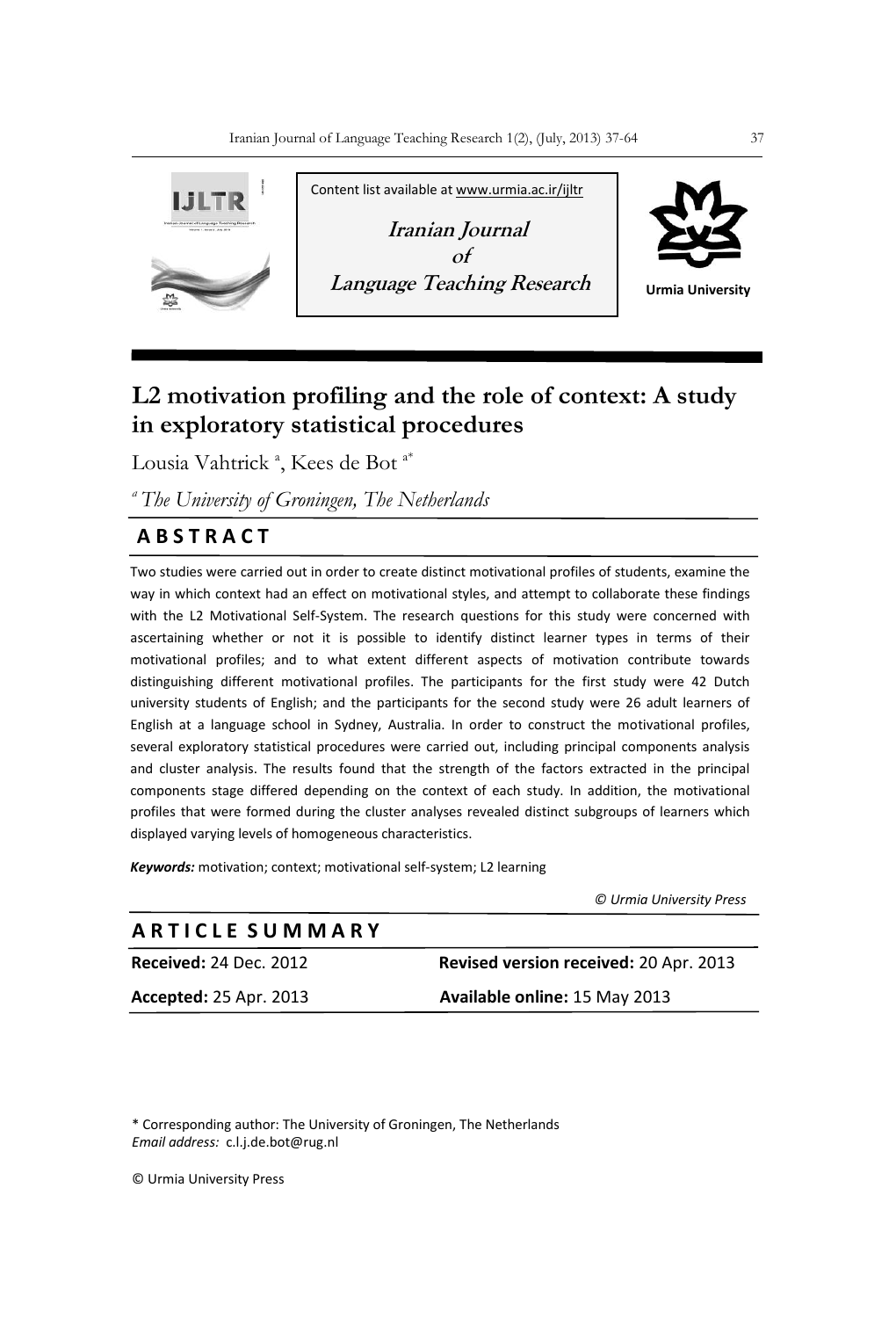

# **L2 motivation profiling and the role of context: A study in exploratory statistical procedures**

Lousia Vahtrick<sup>a</sup>, Kees de Bot<sup>a\*</sup>

*<sup>a</sup>The University of Groningen, The Netherlands*

# **A B S T R A C T**

Two studies were carried out in order to create distinct motivational profiles of students, examine the way in which context had an effect on motivational styles, and attempt to collaborate these findings with the L2 Motivational Self-System. The research questions for this study were concerned with ascertaining whether or not it is possible to identify distinct learner types in terms of their motivational profiles; and to what extent different aspects of motivation contribute towards distinguishing different motivational profiles. The participants for the first study were 42 Dutch university students of English; and the participants for the second study were 26 adult learners of English at a language school in Sydney, Australia. In order to construct the motivational profiles, several exploratory statistical procedures were carried out, including principal components analysis and cluster analysis. The results found that the strength of the factors extracted in the principal components stage differed depending on the context of each study. In addition, the motivational profiles that were formed during the cluster analyses revealed distinct subgroups of learners which displayed varying levels of homogeneous characteristics.

*Keywords:* motivation; context; motivational self-system; L2 learning

 *© Urmia University Press*

| ARTICLE SUMMARY               |                                        |
|-------------------------------|----------------------------------------|
| <b>Received: 24 Dec. 2012</b> | Revised version received: 20 Apr. 2013 |
| <b>Accepted: 25 Apr. 2013</b> | Available online: 15 May 2013          |
|                               |                                        |

\* Corresponding author: The University of Groningen, The Netherlands *Email address:* c.l.j.de.bot@rug.nl

© Urmia University Press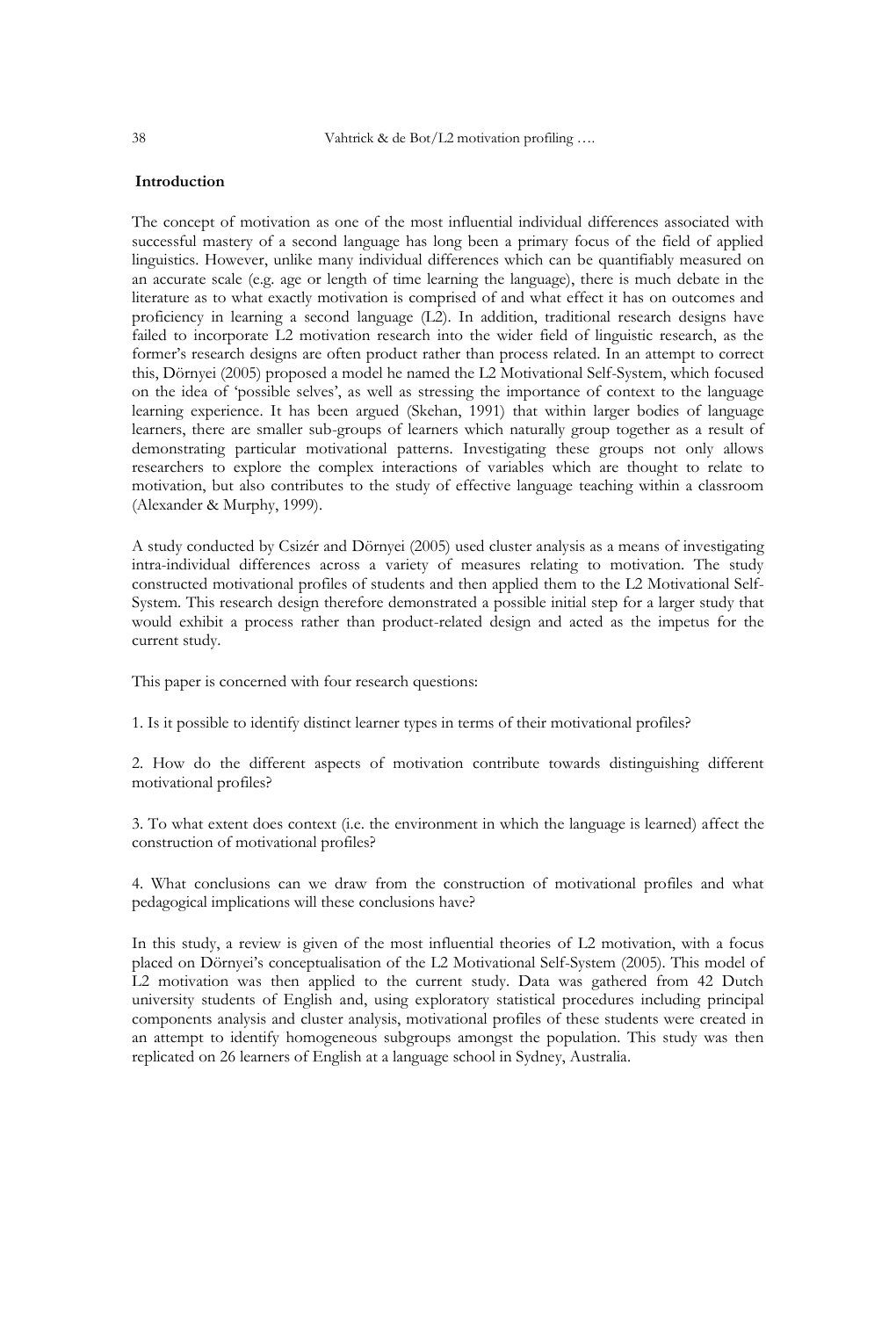# **Introduction**

The concept of motivation as one of the most influential individual differences associated with successful mastery of a second language has long been a primary focus of the field of applied linguistics. However, unlike many individual differences which can be quantifiably measured on an accurate scale (e.g. age or length of time learning the language), there is much debate in the literature as to what exactly motivation is comprised of and what effect it has on outcomes and proficiency in learning a second language (L2). In addition, traditional research designs have failed to incorporate L2 motivation research into the wider field of linguistic research, as the former"s research designs are often product rather than process related. In an attempt to correct this, Dörnyei (2005) proposed a model he named the L2 Motivational Self-System, which focused on the idea of "possible selves", as well as stressing the importance of context to the language learning experience. It has been argued (Skehan, 1991) that within larger bodies of language learners, there are smaller sub-groups of learners which naturally group together as a result of demonstrating particular motivational patterns. Investigating these groups not only allows researchers to explore the complex interactions of variables which are thought to relate to motivation, but also contributes to the study of effective language teaching within a classroom (Alexander & Murphy, 1999).

A study conducted by Csizér and Dörnyei (2005) used cluster analysis as a means of investigating intra-individual differences across a variety of measures relating to motivation. The study constructed motivational profiles of students and then applied them to the L2 Motivational Self-System. This research design therefore demonstrated a possible initial step for a larger study that would exhibit a process rather than product-related design and acted as the impetus for the current study.

This paper is concerned with four research questions:

1. Is it possible to identify distinct learner types in terms of their motivational profiles?

2. How do the different aspects of motivation contribute towards distinguishing different motivational profiles?

3. To what extent does context (i.e. the environment in which the language is learned) affect the construction of motivational profiles?

4. What conclusions can we draw from the construction of motivational profiles and what pedagogical implications will these conclusions have?

In this study, a review is given of the most influential theories of L2 motivation, with a focus placed on Dörnyei"s conceptualisation of the L2 Motivational Self-System (2005). This model of L2 motivation was then applied to the current study. Data was gathered from 42 Dutch university students of English and, using exploratory statistical procedures including principal components analysis and cluster analysis, motivational profiles of these students were created in an attempt to identify homogeneous subgroups amongst the population. This study was then replicated on 26 learners of English at a language school in Sydney, Australia.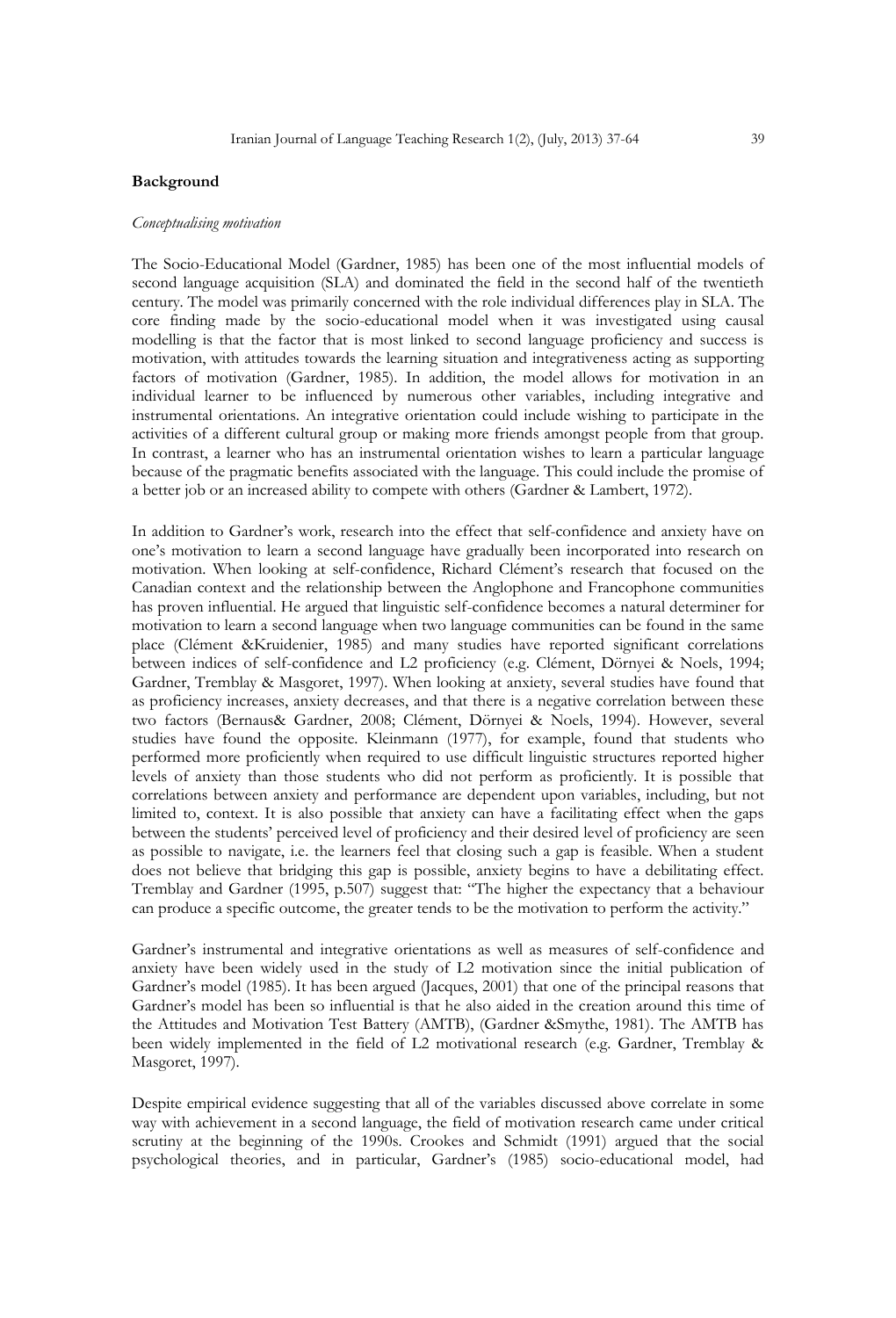# **Background**

### *Conceptualising motivation*

The Socio-Educational Model (Gardner, 1985) has been one of the most influential models of second language acquisition (SLA) and dominated the field in the second half of the twentieth century. The model was primarily concerned with the role individual differences play in SLA. The core finding made by the socio-educational model when it was investigated using causal modelling is that the factor that is most linked to second language proficiency and success is motivation, with attitudes towards the learning situation and integrativeness acting as supporting factors of motivation (Gardner, 1985). In addition, the model allows for motivation in an individual learner to be influenced by numerous other variables, including integrative and instrumental orientations. An integrative orientation could include wishing to participate in the activities of a different cultural group or making more friends amongst people from that group. In contrast, a learner who has an instrumental orientation wishes to learn a particular language because of the pragmatic benefits associated with the language. This could include the promise of a better job or an increased ability to compete with others (Gardner & Lambert, 1972).

In addition to Gardner"s work, research into the effect that self-confidence and anxiety have on one"s motivation to learn a second language have gradually been incorporated into research on motivation. When looking at self-confidence, Richard Clément"s research that focused on the Canadian context and the relationship between the Anglophone and Francophone communities has proven influential. He argued that linguistic self-confidence becomes a natural determiner for motivation to learn a second language when two language communities can be found in the same place (Clément &Kruidenier, 1985) and many studies have reported significant correlations between indices of self-confidence and L2 proficiency (e.g. Clément, Dörnyei & Noels, 1994; Gardner, Tremblay & Masgoret, 1997). When looking at anxiety, several studies have found that as proficiency increases, anxiety decreases, and that there is a negative correlation between these two factors (Bernaus& Gardner, 2008; Clément, Dörnyei & Noels, 1994). However, several studies have found the opposite. Kleinmann (1977), for example, found that students who performed more proficiently when required to use difficult linguistic structures reported higher levels of anxiety than those students who did not perform as proficiently. It is possible that correlations between anxiety and performance are dependent upon variables, including, but not limited to, context. It is also possible that anxiety can have a facilitating effect when the gaps between the students' perceived level of proficiency and their desired level of proficiency are seen as possible to navigate, i.e. the learners feel that closing such a gap is feasible. When a student does not believe that bridging this gap is possible, anxiety begins to have a debilitating effect. Tremblay and Gardner (1995, p.507) suggest that: "The higher the expectancy that a behaviour can produce a specific outcome, the greater tends to be the motivation to perform the activity."

Gardner"s instrumental and integrative orientations as well as measures of self-confidence and anxiety have been widely used in the study of L2 motivation since the initial publication of Gardner's model (1985). It has been argued (Jacques, 2001) that one of the principal reasons that Gardner"s model has been so influential is that he also aided in the creation around this time of the Attitudes and Motivation Test Battery (AMTB), (Gardner &Smythe, 1981). The AMTB has been widely implemented in the field of L2 motivational research (e.g. Gardner, Tremblay & Masgoret, 1997).

Despite empirical evidence suggesting that all of the variables discussed above correlate in some way with achievement in a second language, the field of motivation research came under critical scrutiny at the beginning of the 1990s. Crookes and Schmidt (1991) argued that the social psychological theories, and in particular, Gardner"s (1985) socio-educational model, had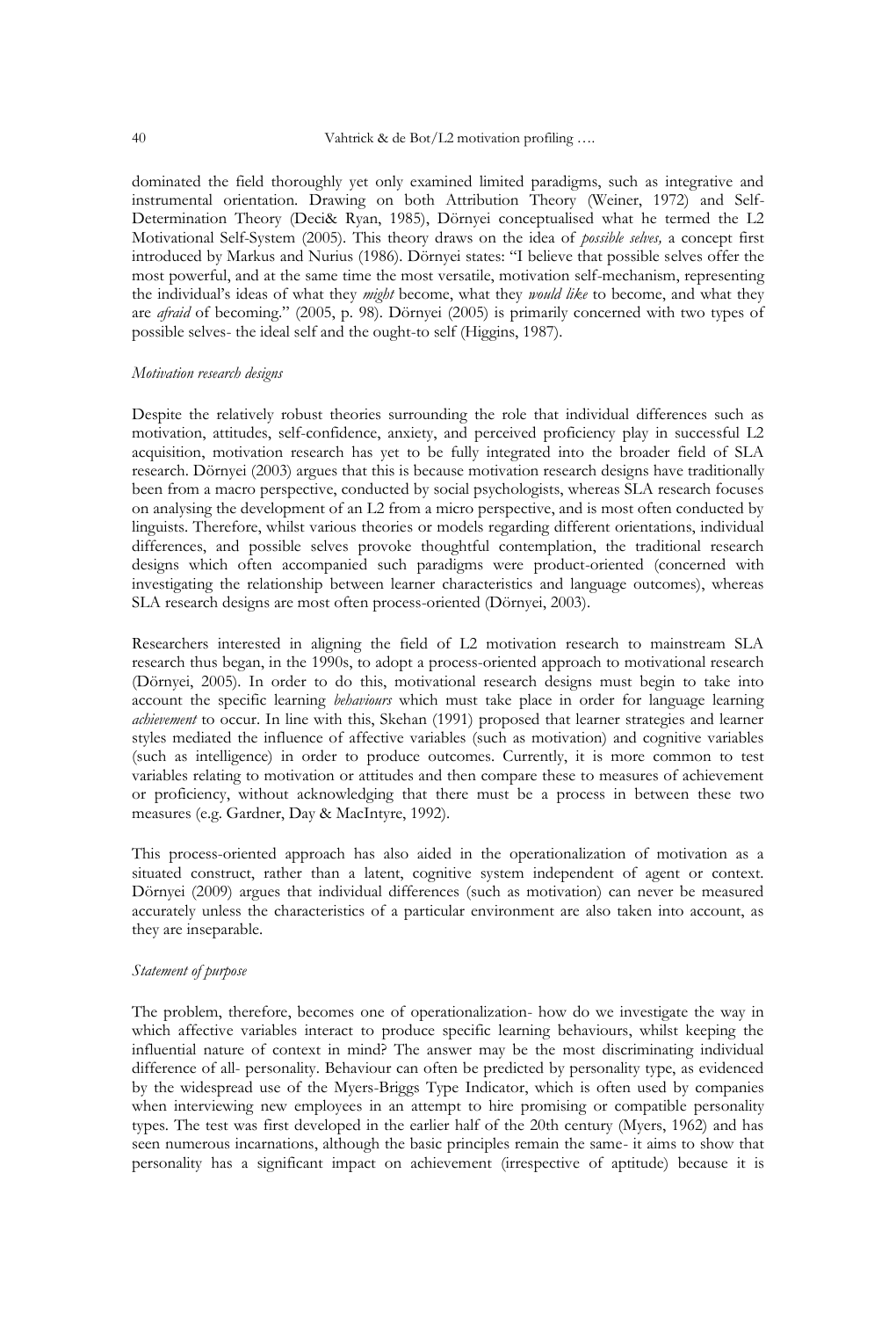dominated the field thoroughly yet only examined limited paradigms, such as integrative and instrumental orientation. Drawing on both Attribution Theory (Weiner, 1972) and Self-Determination Theory (Deci& Ryan, 1985), Dörnyei conceptualised what he termed the L2 Motivational Self-System (2005). This theory draws on the idea of *possible selves,* a concept first introduced by Markus and Nurius (1986). Dörnyei states: "I believe that possible selves offer the most powerful, and at the same time the most versatile, motivation self-mechanism, representing the individual"s ideas of what they *might* become, what they *would like* to become, and what they are *afraid* of becoming." (2005, p. 98). Dörnyei (2005) is primarily concerned with two types of possible selves- the ideal self and the ought-to self (Higgins, 1987).

#### *Motivation research designs*

Despite the relatively robust theories surrounding the role that individual differences such as motivation, attitudes, self-confidence, anxiety, and perceived proficiency play in successful L2 acquisition, motivation research has yet to be fully integrated into the broader field of SLA research. Dörnyei (2003) argues that this is because motivation research designs have traditionally been from a macro perspective, conducted by social psychologists, whereas SLA research focuses on analysing the development of an L2 from a micro perspective, and is most often conducted by linguists. Therefore, whilst various theories or models regarding different orientations, individual differences, and possible selves provoke thoughtful contemplation, the traditional research designs which often accompanied such paradigms were product-oriented (concerned with investigating the relationship between learner characteristics and language outcomes), whereas SLA research designs are most often process-oriented (Dörnyei, 2003).

Researchers interested in aligning the field of L2 motivation research to mainstream SLA research thus began, in the 1990s, to adopt a process-oriented approach to motivational research (Dörnyei, 2005). In order to do this, motivational research designs must begin to take into account the specific learning *behaviours* which must take place in order for language learning *achievement* to occur. In line with this, Skehan (1991) proposed that learner strategies and learner styles mediated the influence of affective variables (such as motivation) and cognitive variables (such as intelligence) in order to produce outcomes. Currently, it is more common to test variables relating to motivation or attitudes and then compare these to measures of achievement or proficiency, without acknowledging that there must be a process in between these two measures (e.g. Gardner, Day & MacIntyre, 1992).

This process-oriented approach has also aided in the operationalization of motivation as a situated construct, rather than a latent, cognitive system independent of agent or context. Dörnyei (2009) argues that individual differences (such as motivation) can never be measured accurately unless the characteristics of a particular environment are also taken into account, as they are inseparable.

# *Statement of purpose*

The problem, therefore, becomes one of operationalization- how do we investigate the way in which affective variables interact to produce specific learning behaviours, whilst keeping the influential nature of context in mind? The answer may be the most discriminating individual difference of all- personality. Behaviour can often be predicted by personality type, as evidenced by the widespread use of the Myers-Briggs Type Indicator, which is often used by companies when interviewing new employees in an attempt to hire promising or compatible personality types. The test was first developed in the earlier half of the 20th century (Myers, 1962) and has seen numerous incarnations, although the basic principles remain the same- it aims to show that personality has a significant impact on achievement (irrespective of aptitude) because it is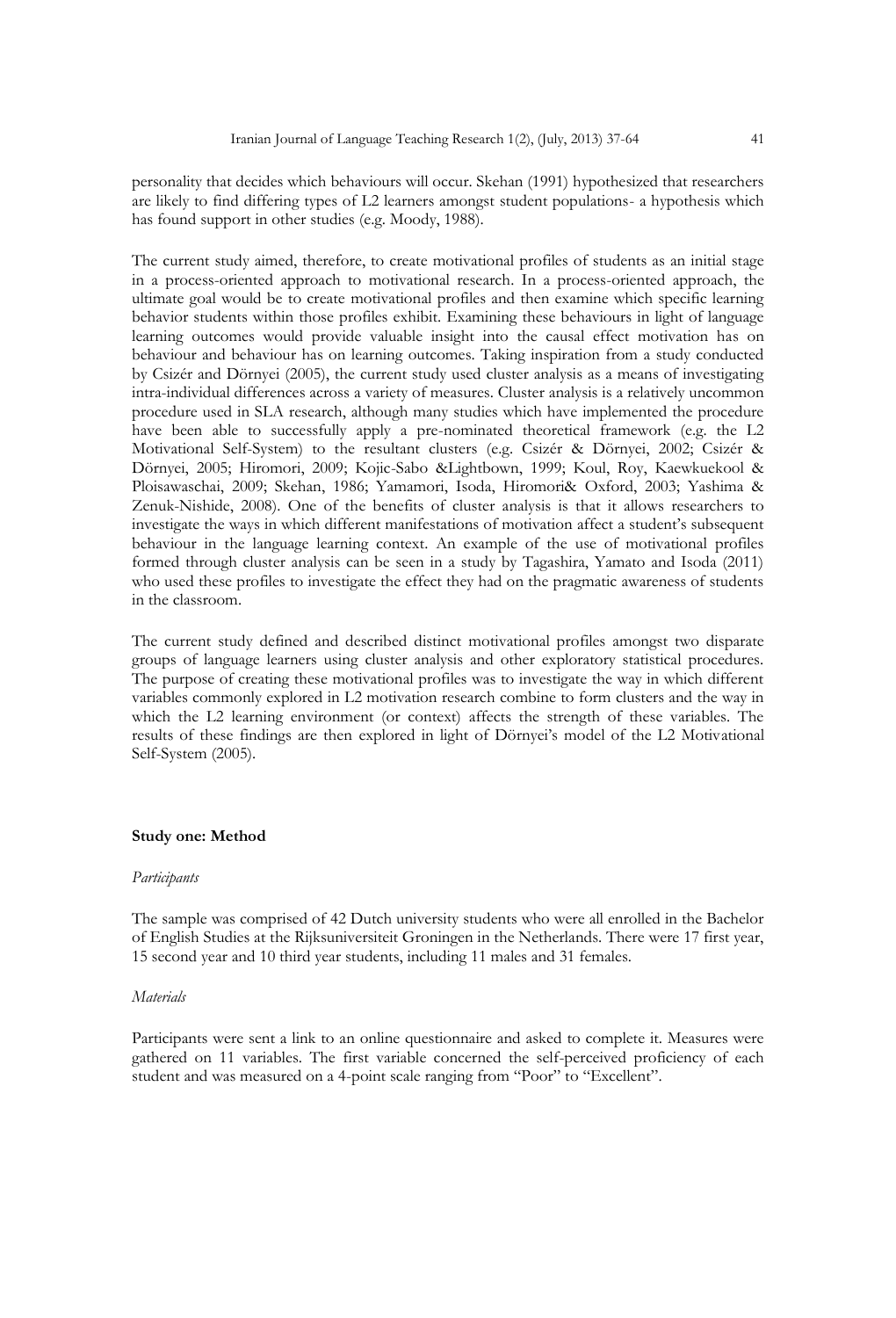personality that decides which behaviours will occur. Skehan (1991) hypothesized that researchers are likely to find differing types of L2 learners amongst student populations- a hypothesis which has found support in other studies (e.g. Moody, 1988).

The current study aimed, therefore, to create motivational profiles of students as an initial stage in a process-oriented approach to motivational research. In a process-oriented approach, the ultimate goal would be to create motivational profiles and then examine which specific learning behavior students within those profiles exhibit. Examining these behaviours in light of language learning outcomes would provide valuable insight into the causal effect motivation has on behaviour and behaviour has on learning outcomes. Taking inspiration from a study conducted by Csizér and Dörnyei (2005), the current study used cluster analysis as a means of investigating intra-individual differences across a variety of measures. Cluster analysis is a relatively uncommon procedure used in SLA research, although many studies which have implemented the procedure have been able to successfully apply a pre-nominated theoretical framework (e.g. the L2 Motivational Self-System) to the resultant clusters (e.g. Csizér & Dörnyei, 2002; Csizér & Dörnyei, 2005; Hiromori, 2009; Kojic-Sabo &Lightbown, 1999; Koul, Roy, Kaewkuekool & Ploisawaschai, 2009; Skehan, 1986; Yamamori, Isoda, Hiromori& Oxford, 2003; Yashima & Zenuk-Nishide, 2008). One of the benefits of cluster analysis is that it allows researchers to investigate the ways in which different manifestations of motivation affect a student"s subsequent behaviour in the language learning context. An example of the use of motivational profiles formed through cluster analysis can be seen in a study by Tagashira, Yamato and Isoda (2011) who used these profiles to investigate the effect they had on the pragmatic awareness of students in the classroom.

The current study defined and described distinct motivational profiles amongst two disparate groups of language learners using cluster analysis and other exploratory statistical procedures. The purpose of creating these motivational profiles was to investigate the way in which different variables commonly explored in L2 motivation research combine to form clusters and the way in which the L2 learning environment (or context) affects the strength of these variables. The results of these findings are then explored in light of Dörnyei"s model of the L2 Motivational Self-System (2005).

# **Study one: Method**

#### *Participants*

The sample was comprised of 42 Dutch university students who were all enrolled in the Bachelor of English Studies at the Rijksuniversiteit Groningen in the Netherlands. There were 17 first year, 15 second year and 10 third year students, including 11 males and 31 females.

### *Materials*

Participants were sent a link to an online questionnaire and asked to complete it. Measures were gathered on 11 variables. The first variable concerned the self-perceived proficiency of each student and was measured on a 4-point scale ranging from "Poor" to "Excellent".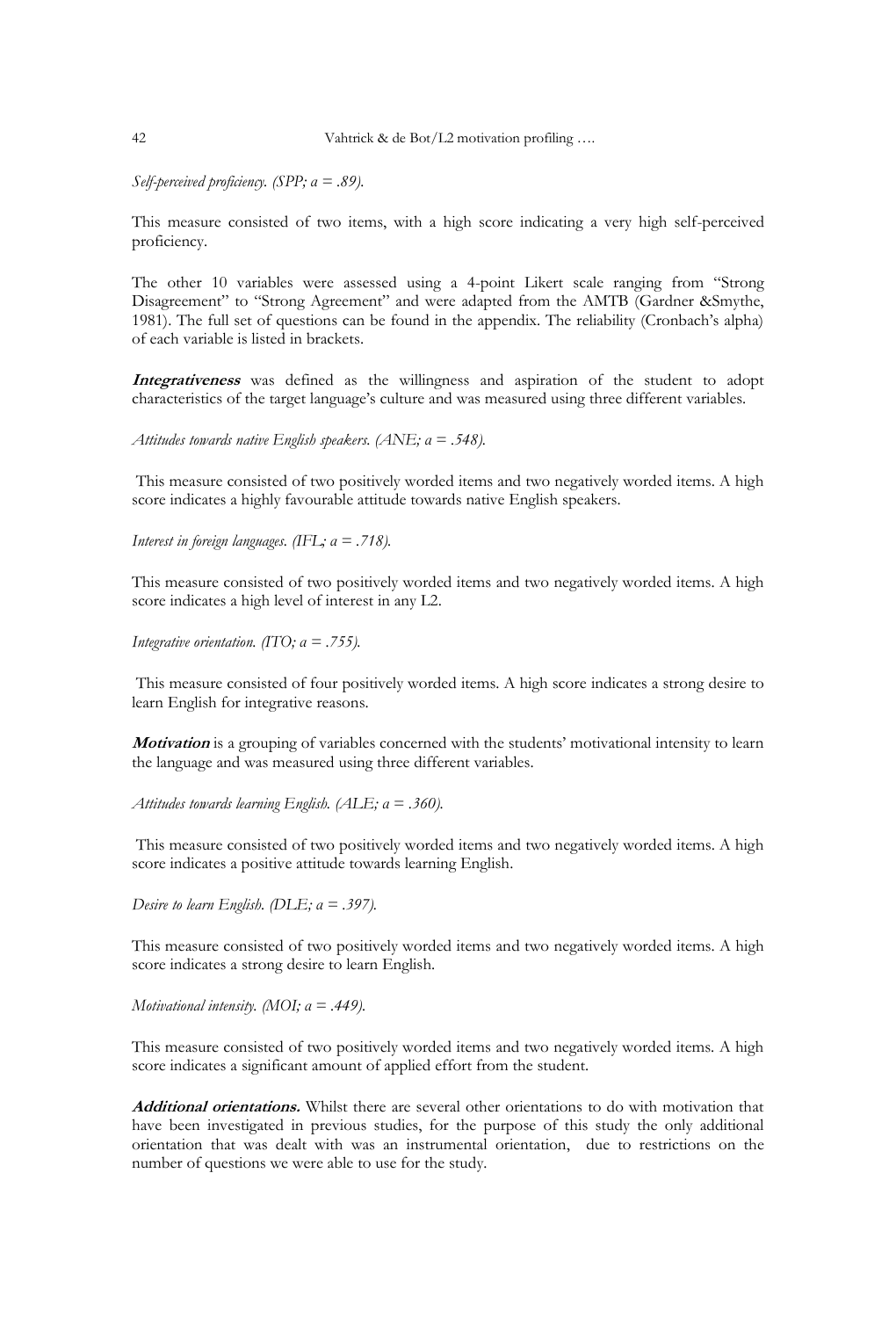*Self-perceived proficiency. (SPP; α = .89).* 

This measure consisted of two items, with a high score indicating a very high self-perceived proficiency.

The other 10 variables were assessed using a 4-point Likert scale ranging from "Strong Disagreement" to "Strong Agreement" and were adapted from the AMTB (Gardner &Smythe, 1981). The full set of questions can be found in the appendix. The reliability (Cronbach's alpha) of each variable is listed in brackets.

**Integrativeness** was defined as the willingness and aspiration of the student to adopt characteristics of the target language"s culture and was measured using three different variables.

*Attitudes towards native English speakers. (ANE; α = .548).*

This measure consisted of two positively worded items and two negatively worded items. A high score indicates a highly favourable attitude towards native English speakers.

*Interest in foreign languages. (IFL; α = .718).* 

This measure consisted of two positively worded items and two negatively worded items. A high score indicates a high level of interest in any L2.

*Integrative orientation. (ITO; α = .755).*

This measure consisted of four positively worded items. A high score indicates a strong desire to learn English for integrative reasons.

**Motivation** is a grouping of variables concerned with the students" motivational intensity to learn the language and was measured using three different variables.

*Attitudes towards learning English. (ALE; α = .360).*

This measure consisted of two positively worded items and two negatively worded items. A high score indicates a positive attitude towards learning English.

*Desire to learn English. (DLE; α = .397).* 

This measure consisted of two positively worded items and two negatively worded items. A high score indicates a strong desire to learn English.

*Motivational intensity. (MOI; α = .449).* 

This measure consisted of two positively worded items and two negatively worded items. A high score indicates a significant amount of applied effort from the student.

**Additional orientations.** Whilst there are several other orientations to do with motivation that have been investigated in previous studies, for the purpose of this study the only additional orientation that was dealt with was an instrumental orientation, due to restrictions on the number of questions we were able to use for the study.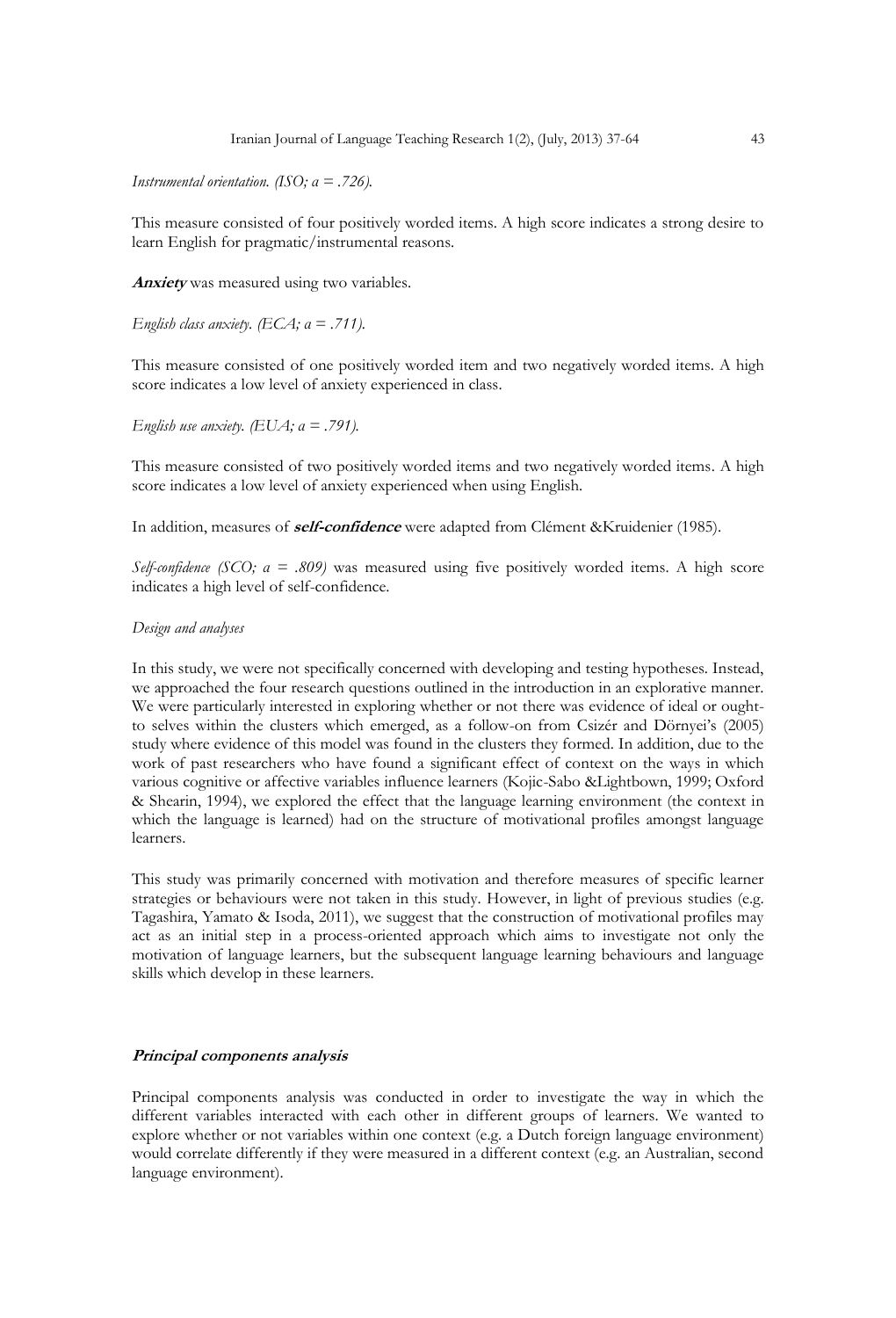Iranian Journal of Language Teaching Research 1(2), (July, 2013) 37-64 43

*Instrumental orientation. (ISO; α = .726).* 

This measure consisted of four positively worded items. A high score indicates a strong desire to learn English for pragmatic/instrumental reasons.

**Anxiety** was measured using two variables.

*English class anxiety. (ECA; α = .711).* 

This measure consisted of one positively worded item and two negatively worded items. A high score indicates a low level of anxiety experienced in class.

*English use anxiety. (EUA; α = .791).* 

This measure consisted of two positively worded items and two negatively worded items. A high score indicates a low level of anxiety experienced when using English.

In addition, measures of **self-confidence** were adapted from Clément &Kruidenier (1985).

*Self-confidence (SCO; α = .809)* was measured using five positively worded items. A high score indicates a high level of self-confidence.

# *Design and analyses*

In this study, we were not specifically concerned with developing and testing hypotheses. Instead, we approached the four research questions outlined in the introduction in an explorative manner. We were particularly interested in exploring whether or not there was evidence of ideal or oughtto selves within the clusters which emerged, as a follow-on from Csizér and Dörnyei"s (2005) study where evidence of this model was found in the clusters they formed. In addition, due to the work of past researchers who have found a significant effect of context on the ways in which various cognitive or affective variables influence learners (Kojic-Sabo &Lightbown, 1999; Oxford & Shearin, 1994), we explored the effect that the language learning environment (the context in which the language is learned) had on the structure of motivational profiles amongst language learners.

This study was primarily concerned with motivation and therefore measures of specific learner strategies or behaviours were not taken in this study. However, in light of previous studies (e.g. Tagashira, Yamato & Isoda, 2011), we suggest that the construction of motivational profiles may act as an initial step in a process-oriented approach which aims to investigate not only the motivation of language learners, but the subsequent language learning behaviours and language skills which develop in these learners.

# **Principal components analysis**

Principal components analysis was conducted in order to investigate the way in which the different variables interacted with each other in different groups of learners. We wanted to explore whether or not variables within one context (e.g. a Dutch foreign language environment) would correlate differently if they were measured in a different context (e.g. an Australian, second language environment).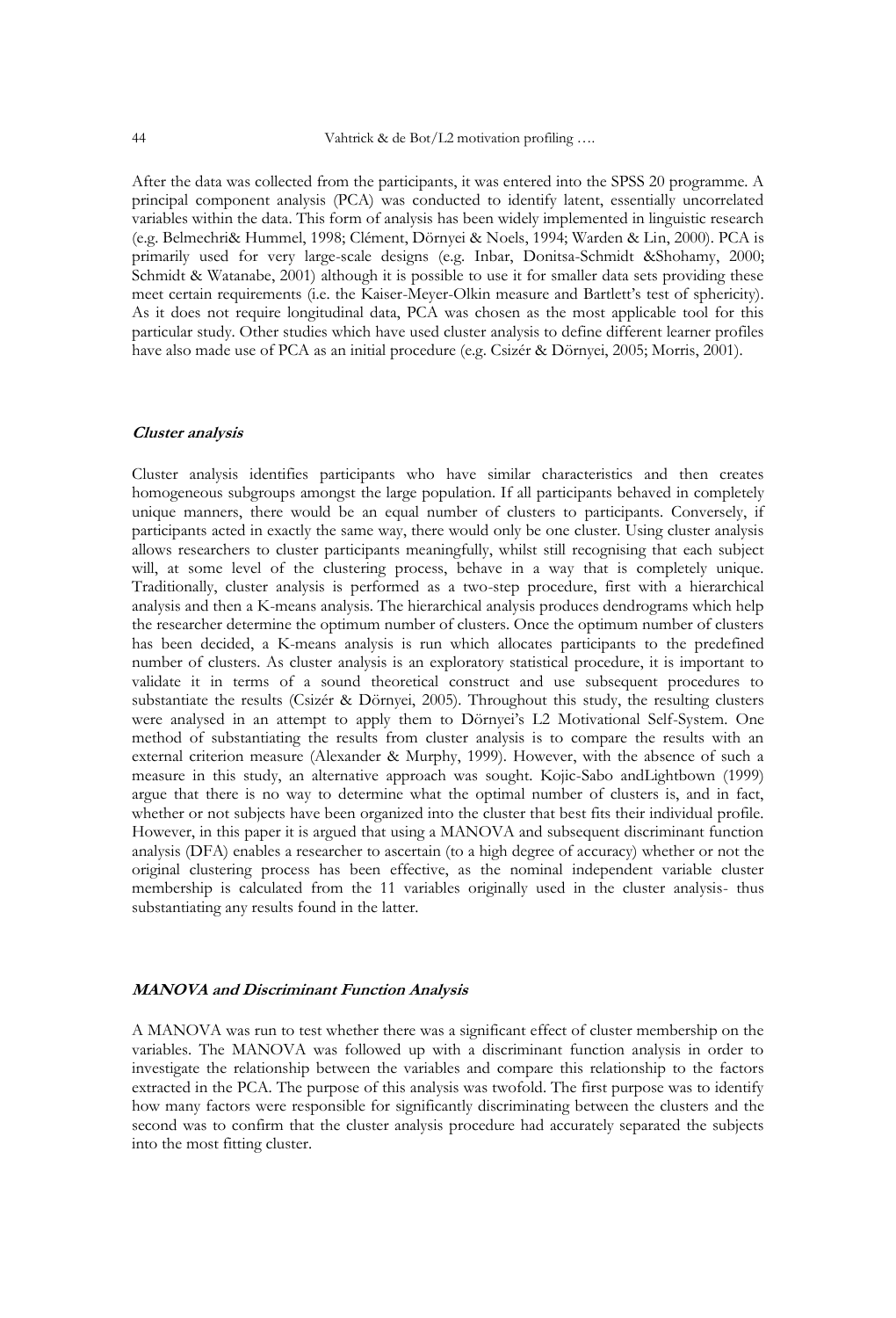After the data was collected from the participants, it was entered into the SPSS 20 programme. A principal component analysis (PCA) was conducted to identify latent, essentially uncorrelated variables within the data. This form of analysis has been widely implemented in linguistic research (e.g. Belmechri& Hummel, 1998; Clément, Dörnyei & Noels, 1994; Warden & Lin, 2000). PCA is primarily used for very large-scale designs (e.g. Inbar, Donitsa-Schmidt &Shohamy, 2000; Schmidt & Watanabe, 2001) although it is possible to use it for smaller data sets providing these meet certain requirements (i.e. the Kaiser-Meyer-Olkin measure and Bartlett's test of sphericity). As it does not require longitudinal data, PCA was chosen as the most applicable tool for this particular study. Other studies which have used cluster analysis to define different learner profiles have also made use of PCA as an initial procedure (e.g. Csizér & Dörnyei, 2005; Morris, 2001).

#### **Cluster analysis**

Cluster analysis identifies participants who have similar characteristics and then creates homogeneous subgroups amongst the large population. If all participants behaved in completely unique manners, there would be an equal number of clusters to participants. Conversely, if participants acted in exactly the same way, there would only be one cluster. Using cluster analysis allows researchers to cluster participants meaningfully, whilst still recognising that each subject will, at some level of the clustering process, behave in a way that is completely unique. Traditionally, cluster analysis is performed as a two-step procedure, first with a hierarchical analysis and then a K-means analysis. The hierarchical analysis produces dendrograms which help the researcher determine the optimum number of clusters. Once the optimum number of clusters has been decided, a K-means analysis is run which allocates participants to the predefined number of clusters. As cluster analysis is an exploratory statistical procedure, it is important to validate it in terms of a sound theoretical construct and use subsequent procedures to substantiate the results (Csizér & Dörnyei, 2005). Throughout this study, the resulting clusters were analysed in an attempt to apply them to Dörnyei"s L2 Motivational Self-System. One method of substantiating the results from cluster analysis is to compare the results with an external criterion measure (Alexander & Murphy, 1999). However, with the absence of such a measure in this study, an alternative approach was sought. Kojic-Sabo andLightbown (1999) argue that there is no way to determine what the optimal number of clusters is, and in fact, whether or not subjects have been organized into the cluster that best fits their individual profile. However, in this paper it is argued that using a MANOVA and subsequent discriminant function analysis (DFA) enables a researcher to ascertain (to a high degree of accuracy) whether or not the original clustering process has been effective, as the nominal independent variable cluster membership is calculated from the 11 variables originally used in the cluster analysis- thus substantiating any results found in the latter.

### **MANOVA and Discriminant Function Analysis**

A MANOVA was run to test whether there was a significant effect of cluster membership on the variables. The MANOVA was followed up with a discriminant function analysis in order to investigate the relationship between the variables and compare this relationship to the factors extracted in the PCA. The purpose of this analysis was twofold. The first purpose was to identify how many factors were responsible for significantly discriminating between the clusters and the second was to confirm that the cluster analysis procedure had accurately separated the subjects into the most fitting cluster.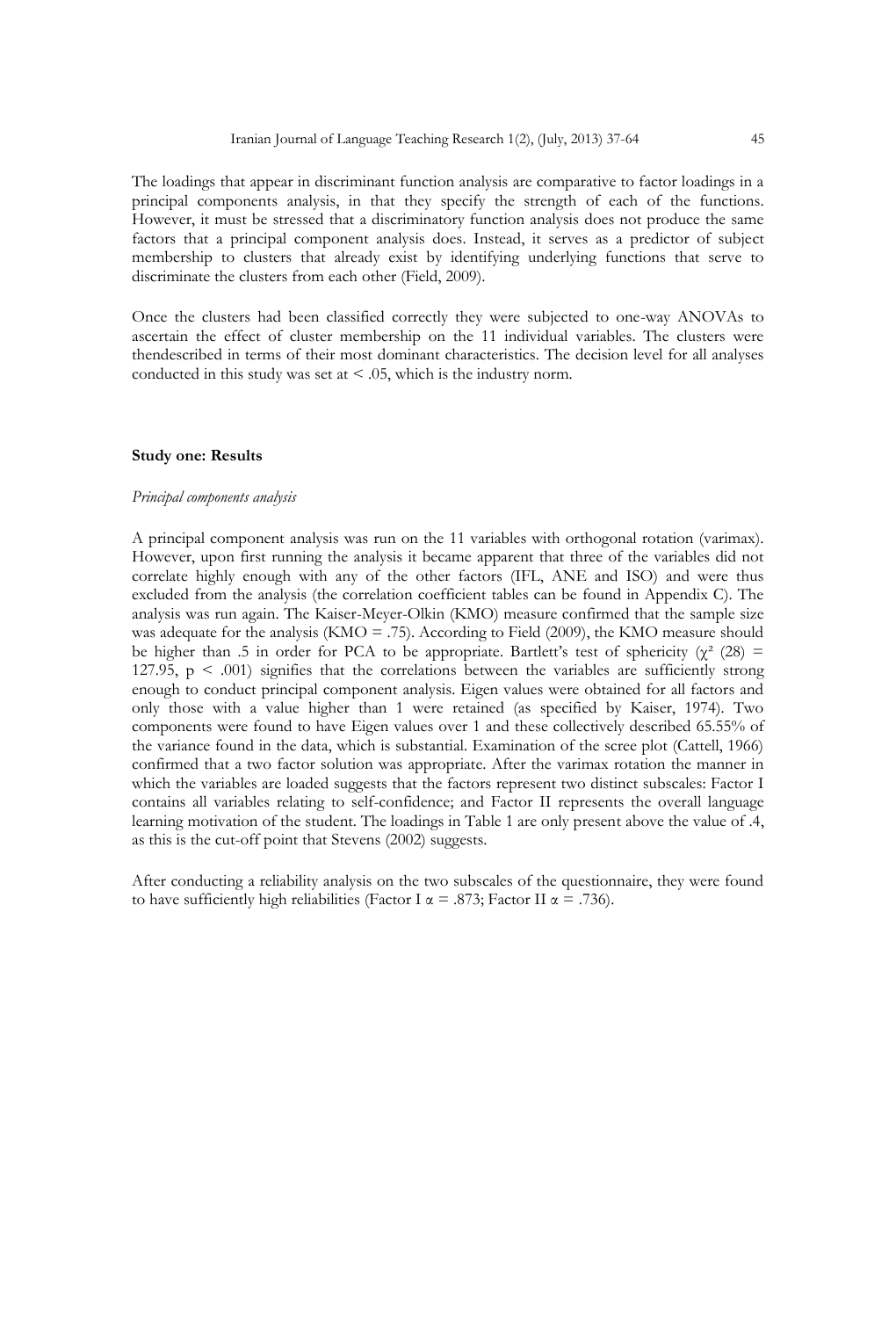The loadings that appear in discriminant function analysis are comparative to factor loadings in a principal components analysis, in that they specify the strength of each of the functions. However, it must be stressed that a discriminatory function analysis does not produce the same factors that a principal component analysis does. Instead, it serves as a predictor of subject membership to clusters that already exist by identifying underlying functions that serve to discriminate the clusters from each other (Field, 2009).

Once the clusters had been classified correctly they were subjected to one-way ANOVAs to ascertain the effect of cluster membership on the 11 individual variables. The clusters were thendescribed in terms of their most dominant characteristics. The decision level for all analyses conducted in this study was set at  $\leq$  .05, which is the industry norm.

# **Study one: Results**

#### *Principal components analysis*

A principal component analysis was run on the 11 variables with orthogonal rotation (varimax). However, upon first running the analysis it became apparent that three of the variables did not correlate highly enough with any of the other factors (IFL, ANE and ISO) and were thus excluded from the analysis (the correlation coefficient tables can be found in Appendix C). The analysis was run again. The Kaiser-Meyer-Olkin (KMO) measure confirmed that the sample size was adequate for the analysis (KMO = .75). According to Field (2009), the KMO measure should be higher than .5 in order for PCA to be appropriate. Bartlett's test of sphericity ( $\chi^2$  (28) = 127.95,  $p \leq 0.001$ ) signifies that the correlations between the variables are sufficiently strong enough to conduct principal component analysis. Eigen values were obtained for all factors and only those with a value higher than 1 were retained (as specified by Kaiser, 1974). Two components were found to have Eigen values over 1 and these collectively described 65.55% of the variance found in the data, which is substantial. Examination of the scree plot (Cattell, 1966) confirmed that a two factor solution was appropriate. After the varimax rotation the manner in which the variables are loaded suggests that the factors represent two distinct subscales: Factor I contains all variables relating to self-confidence; and Factor II represents the overall language learning motivation of the student. The loadings in Table 1 are only present above the value of .4, as this is the cut-off point that Stevens (2002) suggests.

After conducting a reliability analysis on the two subscales of the questionnaire, they were found to have sufficiently high reliabilities (Factor I  $\alpha = .873$ ; Factor II  $\alpha = .736$ ).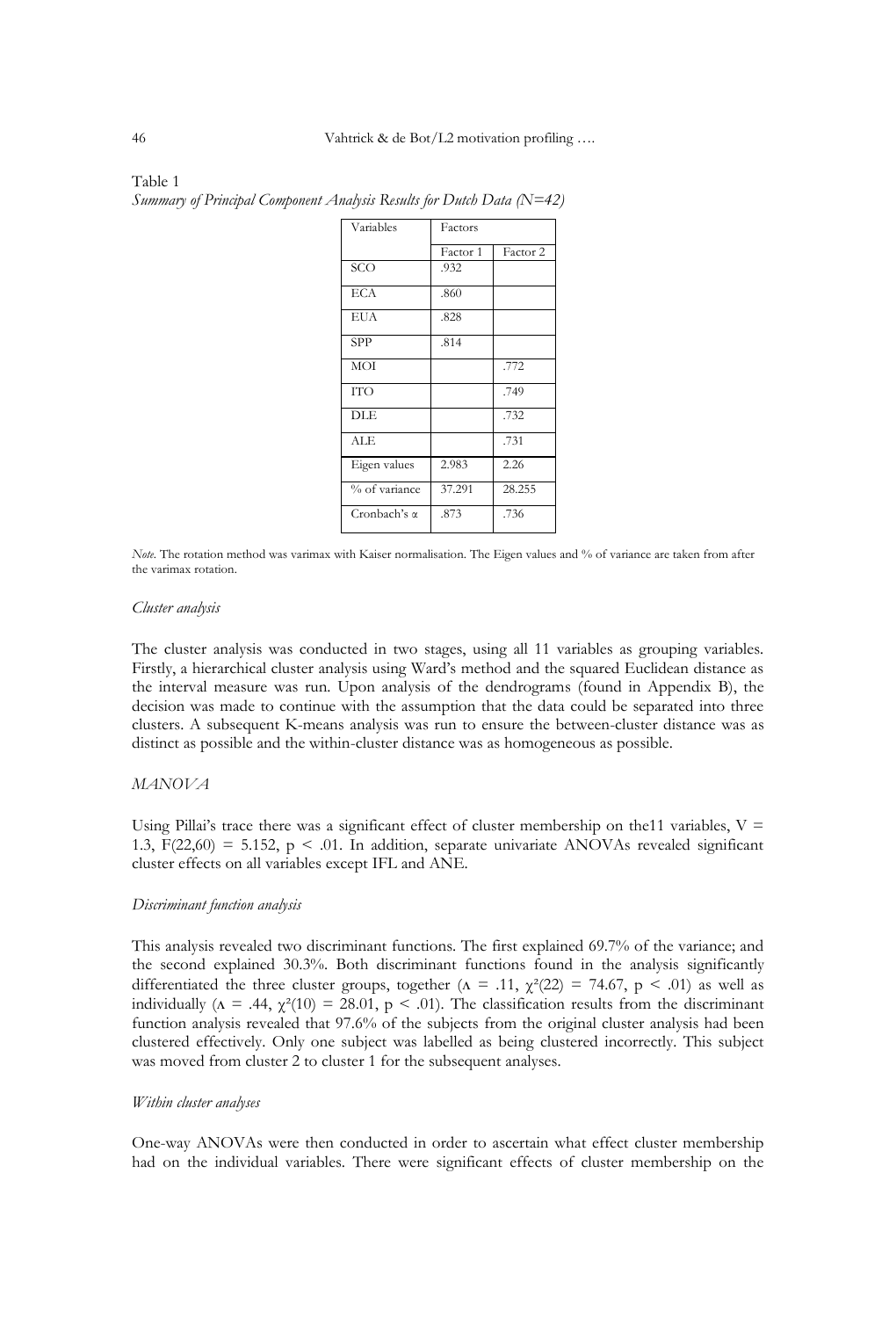| Variables        | Factors  |          |
|------------------|----------|----------|
|                  | Factor 1 | Factor 2 |
| $\overline{SCO}$ | .932     |          |
| <b>ECA</b>       | .860     |          |
| EUA              | .828     |          |
| <b>SPP</b>       | .814     |          |
| <b>MOI</b>       |          | .772     |
| <b>TTO</b>       |          | .749     |
| <b>DLE</b>       |          | .732     |
| ALE.             |          | .731     |
| Eigen values     | 2.983    | 2.26     |
| % of variance    | 37.291   | 28.255   |
| Cronbach's a     | .873     | .736     |

Table 1 *Summary of Principal Component Analysis Results for Dutch Data (N=42)* 

*Note.* The rotation method was varimax with Kaiser normalisation. The Eigen values and % of variance are taken from after the varimax rotation.

#### *Cluster analysis*

The cluster analysis was conducted in two stages, using all 11 variables as grouping variables. Firstly, a hierarchical cluster analysis using Ward"s method and the squared Euclidean distance as the interval measure was run. Upon analysis of the dendrograms (found in Appendix B), the decision was made to continue with the assumption that the data could be separated into three clusters. A subsequent K-means analysis was run to ensure the between-cluster distance was as distinct as possible and the within-cluster distance was as homogeneous as possible.

### *MANOVA*

Using Pillai's trace there was a significant effect of cluster membership on the11 variables,  $V =$ 1.3,  $F(22,60) = 5.152$ ,  $p < .01$ . In addition, separate univariate ANOVAs revealed significant cluster effects on all variables except IFL and ANE.

#### *Discriminant function analysis*

This analysis revealed two discriminant functions. The first explained 69.7% of the variance; and the second explained 30.3%. Both discriminant functions found in the analysis significantly differentiated the three cluster groups, together ( $\Lambda = .11$ ,  $\chi^2(22) = 74.67$ ,  $p \le .01$ ) as well as individually ( $\Lambda = .44$ ,  $\chi^2(10) = 28.01$ ,  $p < .01$ ). The classification results from the discriminant function analysis revealed that 97.6% of the subjects from the original cluster analysis had been clustered effectively. Only one subject was labelled as being clustered incorrectly. This subject was moved from cluster 2 to cluster 1 for the subsequent analyses.

# *Within cluster analyses*

One-way ANOVAs were then conducted in order to ascertain what effect cluster membership had on the individual variables. There were significant effects of cluster membership on the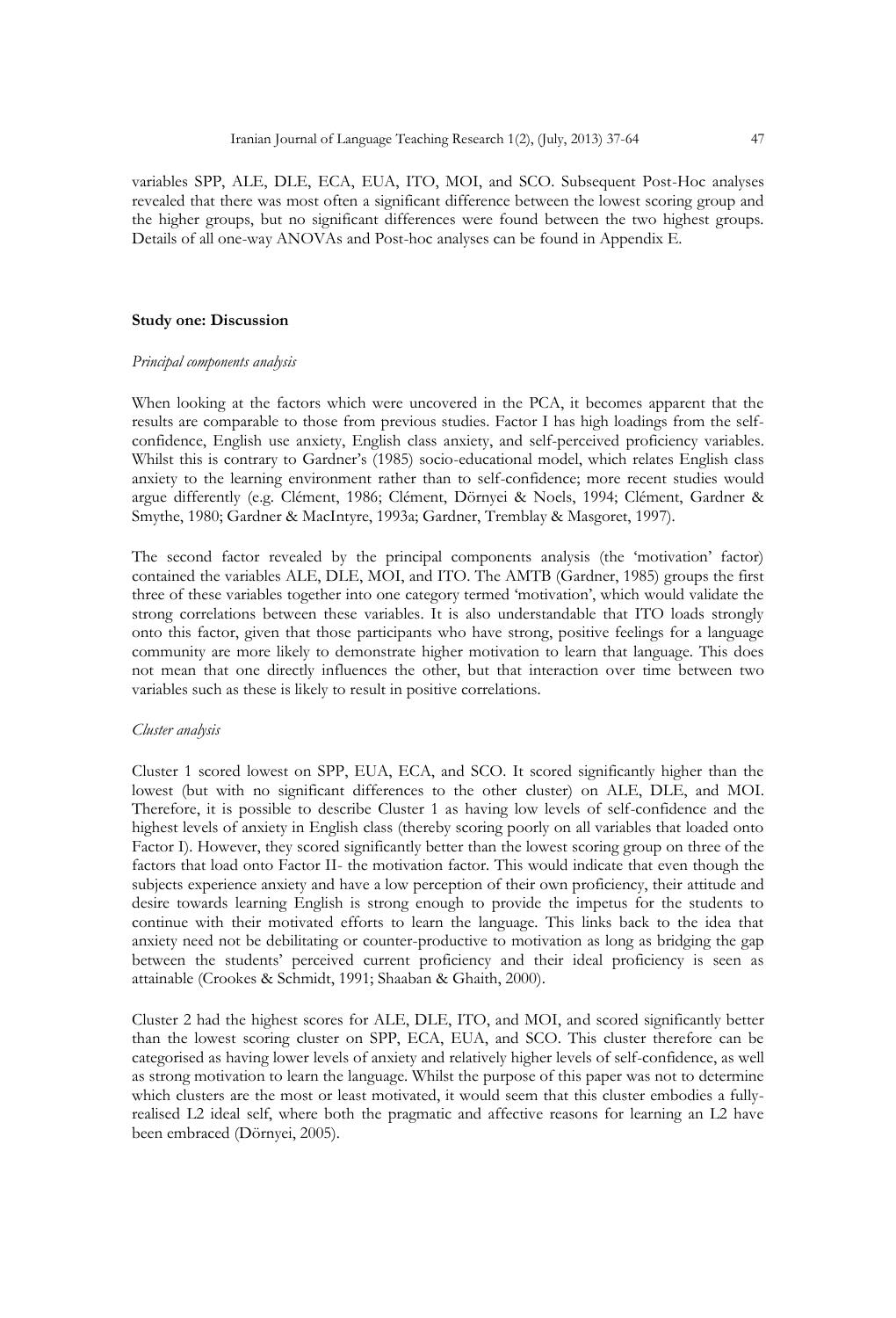variables SPP, ALE, DLE, ECA, EUA, ITO, MOI, and SCO. Subsequent Post-Hoc analyses revealed that there was most often a significant difference between the lowest scoring group and the higher groups, but no significant differences were found between the two highest groups. Details of all one-way ANOVAs and Post-hoc analyses can be found in Appendix E.

# **Study one: Discussion**

#### *Principal components analysis*

When looking at the factors which were uncovered in the PCA, it becomes apparent that the results are comparable to those from previous studies. Factor I has high loadings from the selfconfidence, English use anxiety, English class anxiety, and self-perceived proficiency variables. Whilst this is contrary to Gardner's (1985) socio-educational model, which relates English class anxiety to the learning environment rather than to self-confidence; more recent studies would argue differently (e.g. Clément, 1986; Clément, Dörnyei & Noels, 1994; Clément, Gardner & Smythe, 1980; Gardner & MacIntyre, 1993a; Gardner, Tremblay & Masgoret, 1997).

The second factor revealed by the principal components analysis (the "motivation" factor) contained the variables ALE, DLE, MOI, and ITO. The AMTB (Gardner, 1985) groups the first three of these variables together into one category termed "motivation", which would validate the strong correlations between these variables. It is also understandable that ITO loads strongly onto this factor, given that those participants who have strong, positive feelings for a language community are more likely to demonstrate higher motivation to learn that language. This does not mean that one directly influences the other, but that interaction over time between two variables such as these is likely to result in positive correlations.

## *Cluster analysis*

Cluster 1 scored lowest on SPP, EUA, ECA, and SCO. It scored significantly higher than the lowest (but with no significant differences to the other cluster) on ALE, DLE, and MOI. Therefore, it is possible to describe Cluster 1 as having low levels of self-confidence and the highest levels of anxiety in English class (thereby scoring poorly on all variables that loaded onto Factor I). However, they scored significantly better than the lowest scoring group on three of the factors that load onto Factor II- the motivation factor. This would indicate that even though the subjects experience anxiety and have a low perception of their own proficiency, their attitude and desire towards learning English is strong enough to provide the impetus for the students to continue with their motivated efforts to learn the language. This links back to the idea that anxiety need not be debilitating or counter-productive to motivation as long as bridging the gap between the students' perceived current proficiency and their ideal proficiency is seen as attainable (Crookes & Schmidt, 1991; Shaaban & Ghaith, 2000).

Cluster 2 had the highest scores for ALE, DLE, ITO, and MOI, and scored significantly better than the lowest scoring cluster on SPP, ECA, EUA, and SCO. This cluster therefore can be categorised as having lower levels of anxiety and relatively higher levels of self-confidence, as well as strong motivation to learn the language. Whilst the purpose of this paper was not to determine which clusters are the most or least motivated, it would seem that this cluster embodies a fullyrealised L2 ideal self, where both the pragmatic and affective reasons for learning an L2 have been embraced (Dörnyei, 2005).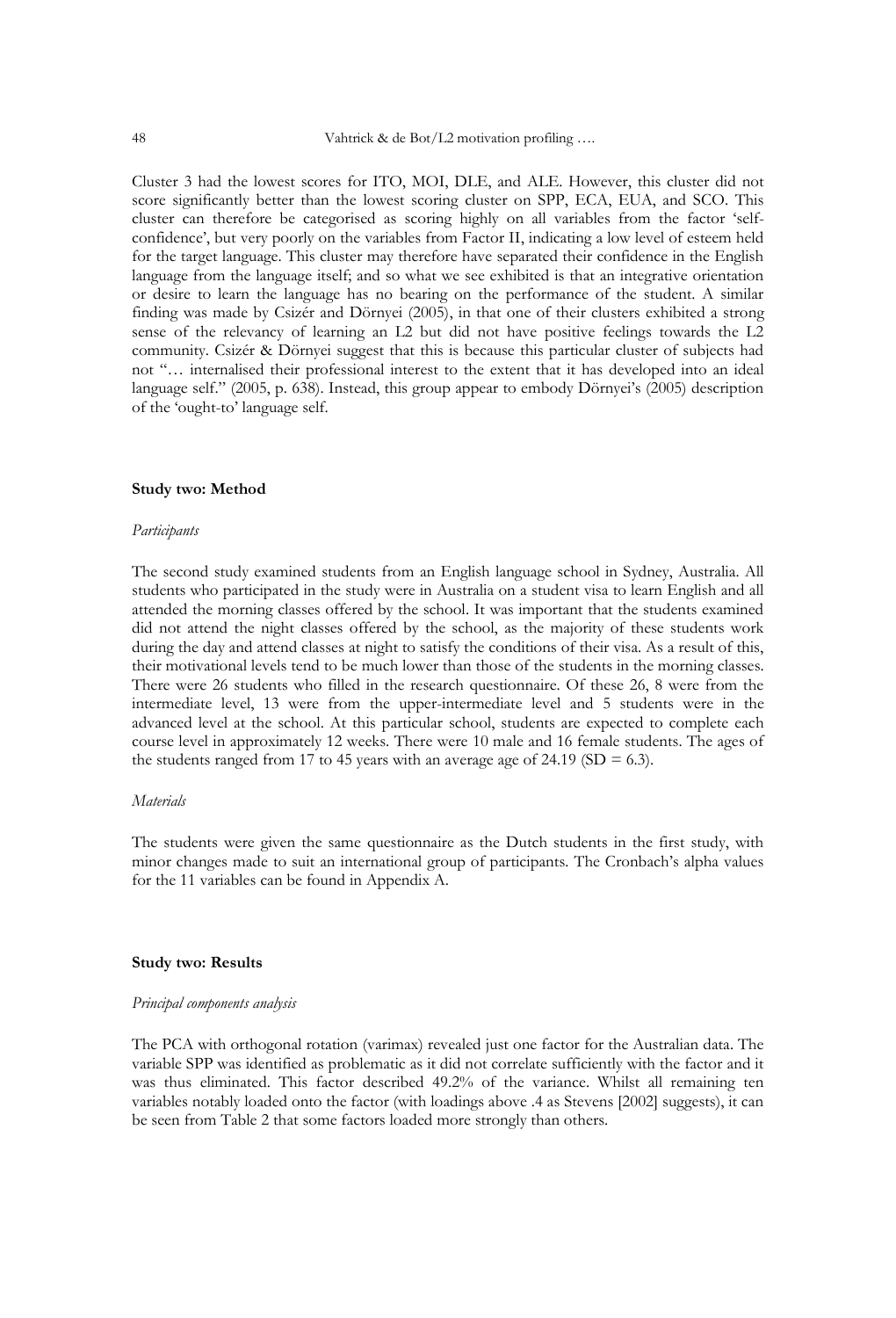Cluster 3 had the lowest scores for ITO, MOI, DLE, and ALE. However, this cluster did not score significantly better than the lowest scoring cluster on SPP, ECA, EUA, and SCO. This cluster can therefore be categorised as scoring highly on all variables from the factor "selfconfidence", but very poorly on the variables from Factor II, indicating a low level of esteem held for the target language. This cluster may therefore have separated their confidence in the English language from the language itself; and so what we see exhibited is that an integrative orientation or desire to learn the language has no bearing on the performance of the student. A similar finding was made by Csizér and Dörnyei (2005), in that one of their clusters exhibited a strong sense of the relevancy of learning an L2 but did not have positive feelings towards the L2 community. Csizér & Dörnyei suggest that this is because this particular cluster of subjects had not "… internalised their professional interest to the extent that it has developed into an ideal language self." (2005, p. 638). Instead, this group appear to embody Dörnyei"s (2005) description of the "ought-to" language self.

#### **Study two: Method**

#### *Participants*

The second study examined students from an English language school in Sydney, Australia. All students who participated in the study were in Australia on a student visa to learn English and all attended the morning classes offered by the school. It was important that the students examined did not attend the night classes offered by the school, as the majority of these students work during the day and attend classes at night to satisfy the conditions of their visa. As a result of this, their motivational levels tend to be much lower than those of the students in the morning classes. There were 26 students who filled in the research questionnaire. Of these 26, 8 were from the intermediate level, 13 were from the upper-intermediate level and 5 students were in the advanced level at the school. At this particular school, students are expected to complete each course level in approximately 12 weeks. There were 10 male and 16 female students. The ages of the students ranged from 17 to 45 years with an average age of 24.19 (SD = 6.3).

# *Materials*

The students were given the same questionnaire as the Dutch students in the first study, with minor changes made to suit an international group of participants. The Cronbach's alpha values for the 11 variables can be found in Appendix A.

# **Study two: Results**

#### *Principal components analysis*

The PCA with orthogonal rotation (varimax) revealed just one factor for the Australian data. The variable SPP was identified as problematic as it did not correlate sufficiently with the factor and it was thus eliminated. This factor described 49.2% of the variance. Whilst all remaining ten variables notably loaded onto the factor (with loadings above .4 as Stevens [2002] suggests), it can be seen from Table 2 that some factors loaded more strongly than others.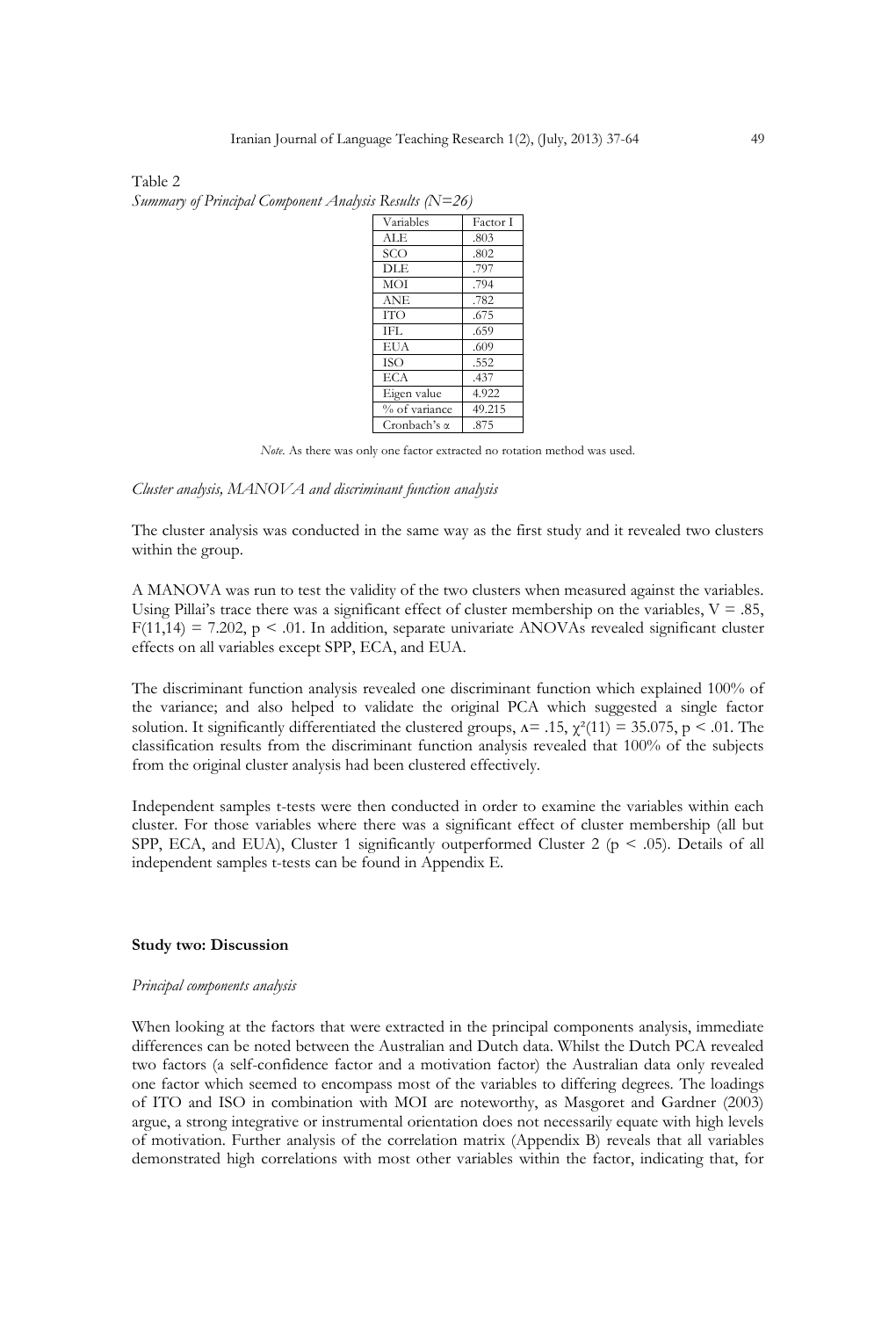| Variables           | Factor I |
|---------------------|----------|
| ALE                 | .803     |
| SCO                 | .802     |
| <b>DLE</b>          | .797     |
| <b>MOI</b>          | .794     |
| <b>ANE</b>          | .782     |
| <b>ITO</b>          | .675     |
| IFL.                | .659     |
| <b>EUA</b>          | .609     |
| <b>ISO</b>          | .552     |
| ECA                 | .437     |
| Eigen value         | 4.922    |
| % of variance       | 49.215   |
| Cronbach's $\alpha$ | .875     |
|                     |          |

Table 2 *Summary of Principal Component Analysis Results (N=26)*

*Note.* As there was only one factor extracted no rotation method was used.

#### *Cluster analysis, MANOVA and discriminant function analysis*

The cluster analysis was conducted in the same way as the first study and it revealed two clusters within the group.

A MANOVA was run to test the validity of the two clusters when measured against the variables. Using Pillai's trace there was a significant effect of cluster membership on the variables,  $V = .85$ ,  $F(11,14) = 7.202$ , p < .01. In addition, separate univariate ANOVAs revealed significant cluster effects on all variables except SPP, ECA, and EUA.

The discriminant function analysis revealed one discriminant function which explained 100% of the variance; and also helped to validate the original PCA which suggested a single factor solution. It significantly differentiated the clustered groups,  $\Lambda = .15$ ,  $\chi^2(11) = 35.075$ , p < .01. The classification results from the discriminant function analysis revealed that 100% of the subjects from the original cluster analysis had been clustered effectively.

Independent samples t-tests were then conducted in order to examine the variables within each cluster. For those variables where there was a significant effect of cluster membership (all but SPP, ECA, and EUA), Cluster 1 significantly outperformed Cluster 2 ( $p < .05$ ). Details of all independent samples t-tests can be found in Appendix E.

# **Study two: Discussion**

#### *Principal components analysis*

When looking at the factors that were extracted in the principal components analysis, immediate differences can be noted between the Australian and Dutch data. Whilst the Dutch PCA revealed two factors (a self-confidence factor and a motivation factor) the Australian data only revealed one factor which seemed to encompass most of the variables to differing degrees. The loadings of ITO and ISO in combination with MOI are noteworthy, as Masgoret and Gardner (2003) argue, a strong integrative or instrumental orientation does not necessarily equate with high levels of motivation. Further analysis of the correlation matrix (Appendix B) reveals that all variables demonstrated high correlations with most other variables within the factor, indicating that, for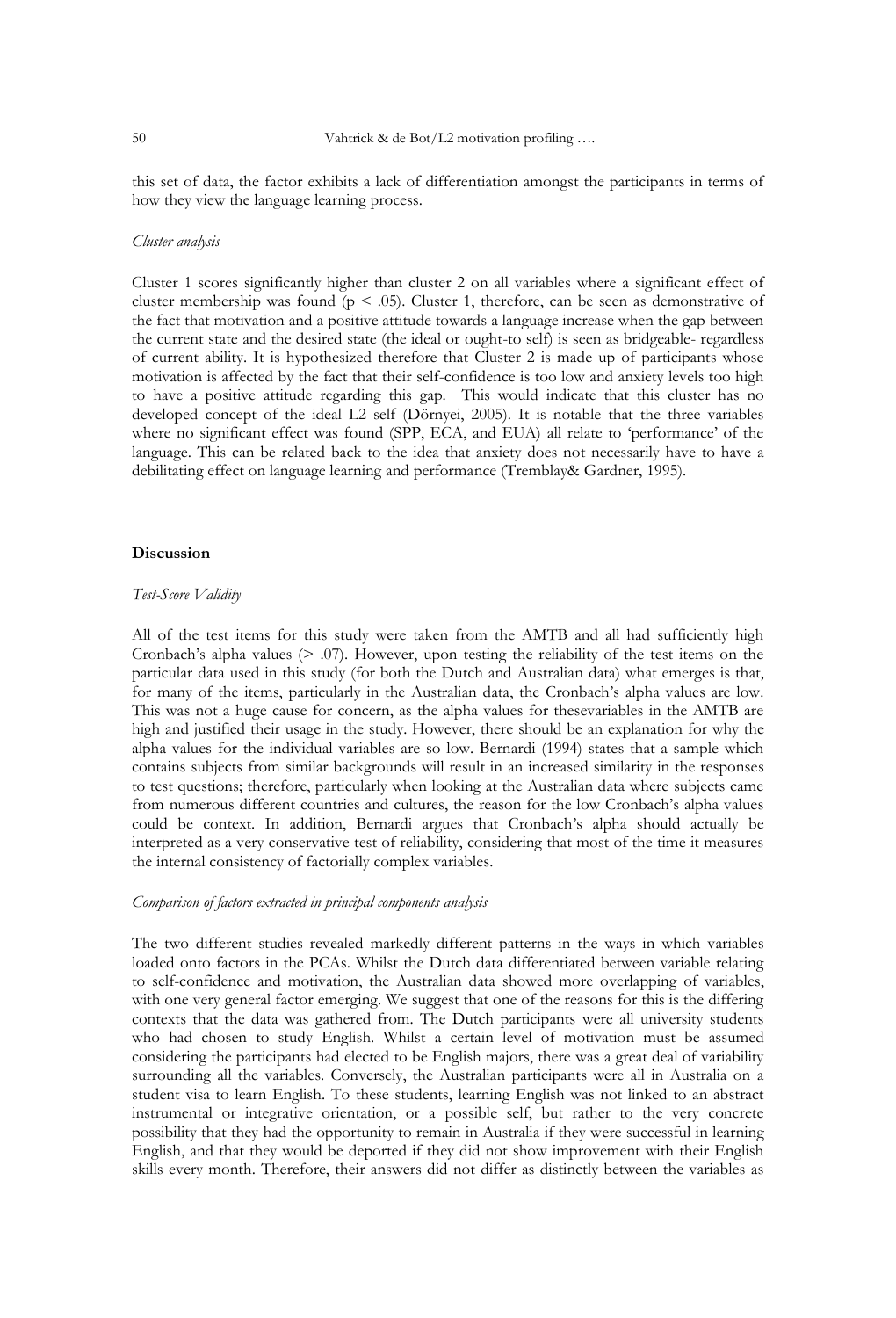this set of data, the factor exhibits a lack of differentiation amongst the participants in terms of how they view the language learning process.

# *Cluster analysis*

Cluster 1 scores significantly higher than cluster 2 on all variables where a significant effect of cluster membership was found ( $p < .05$ ). Cluster 1, therefore, can be seen as demonstrative of the fact that motivation and a positive attitude towards a language increase when the gap between the current state and the desired state (the ideal or ought-to self) is seen as bridgeable- regardless of current ability. It is hypothesized therefore that Cluster 2 is made up of participants whose motivation is affected by the fact that their self-confidence is too low and anxiety levels too high to have a positive attitude regarding this gap. This would indicate that this cluster has no developed concept of the ideal L2 self (Dörnyei, 2005). It is notable that the three variables where no significant effect was found (SPP, ECA, and EUA) all relate to "performance" of the language. This can be related back to the idea that anxiety does not necessarily have to have a debilitating effect on language learning and performance (Tremblay& Gardner, 1995).

### **Discussion**

# *Test-Score Validity*

All of the test items for this study were taken from the AMTB and all had sufficiently high Cronbach's alpha values  $(> 0.07)$ . However, upon testing the reliability of the test items on the particular data used in this study (for both the Dutch and Australian data) what emerges is that, for many of the items, particularly in the Australian data, the Cronbach's alpha values are low. This was not a huge cause for concern, as the alpha values for thesevariables in the AMTB are high and justified their usage in the study. However, there should be an explanation for why the alpha values for the individual variables are so low. Bernardi (1994) states that a sample which contains subjects from similar backgrounds will result in an increased similarity in the responses to test questions; therefore, particularly when looking at the Australian data where subjects came from numerous different countries and cultures, the reason for the low Cronbach's alpha values could be context. In addition, Bernardi argues that Cronbach"s alpha should actually be interpreted as a very conservative test of reliability, considering that most of the time it measures the internal consistency of factorially complex variables.

# *Comparison of factors extracted in principal components analysis*

The two different studies revealed markedly different patterns in the ways in which variables loaded onto factors in the PCAs. Whilst the Dutch data differentiated between variable relating to self-confidence and motivation, the Australian data showed more overlapping of variables, with one very general factor emerging. We suggest that one of the reasons for this is the differing contexts that the data was gathered from. The Dutch participants were all university students who had chosen to study English. Whilst a certain level of motivation must be assumed considering the participants had elected to be English majors, there was a great deal of variability surrounding all the variables. Conversely, the Australian participants were all in Australia on a student visa to learn English. To these students, learning English was not linked to an abstract instrumental or integrative orientation, or a possible self, but rather to the very concrete possibility that they had the opportunity to remain in Australia if they were successful in learning English, and that they would be deported if they did not show improvement with their English skills every month. Therefore, their answers did not differ as distinctly between the variables as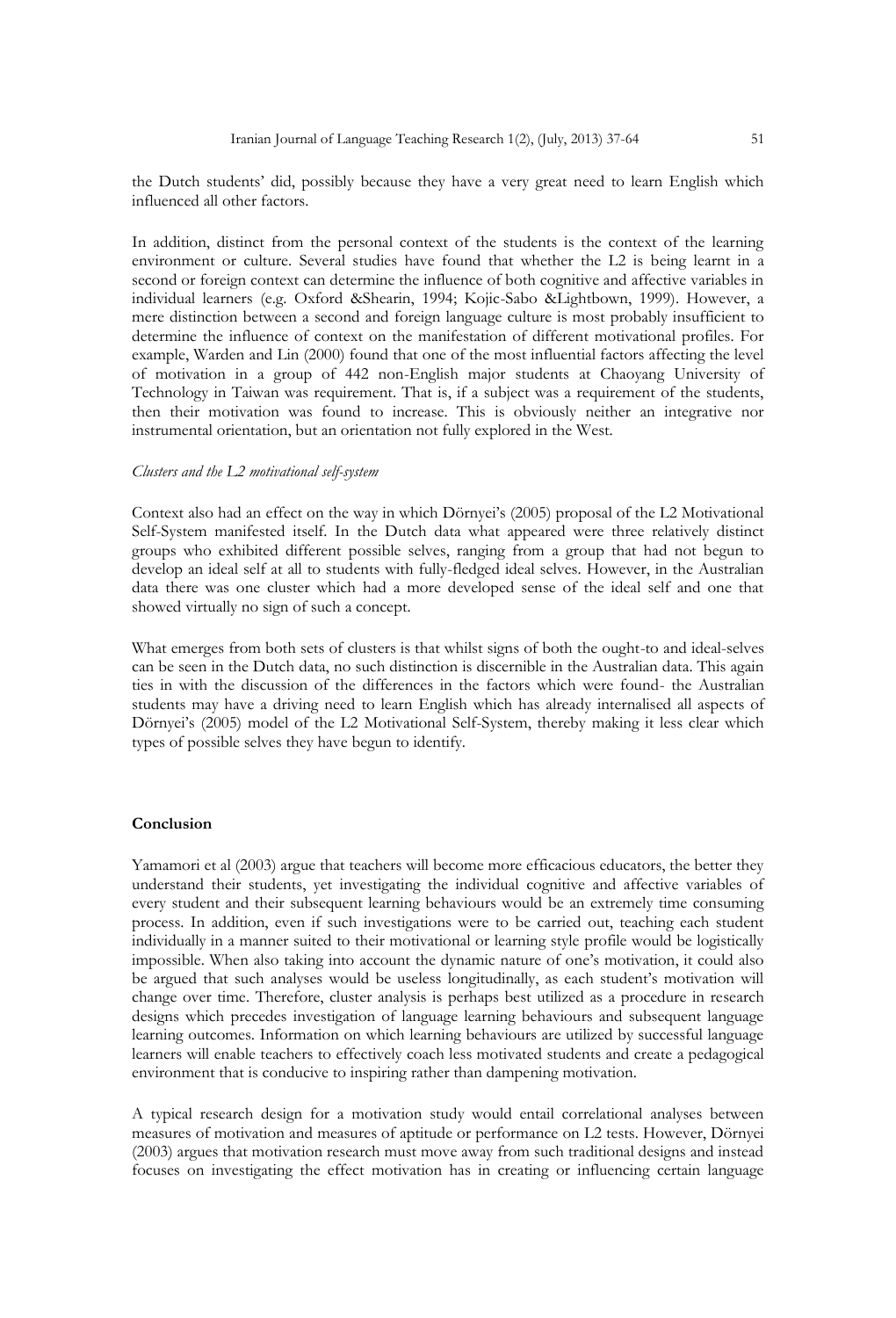the Dutch students" did, possibly because they have a very great need to learn English which influenced all other factors.

In addition, distinct from the personal context of the students is the context of the learning environment or culture. Several studies have found that whether the L2 is being learnt in a second or foreign context can determine the influence of both cognitive and affective variables in individual learners (e.g. Oxford &Shearin, 1994; Kojic-Sabo &Lightbown, 1999). However, a mere distinction between a second and foreign language culture is most probably insufficient to determine the influence of context on the manifestation of different motivational profiles. For example, Warden and Lin (2000) found that one of the most influential factors affecting the level of motivation in a group of 442 non-English major students at Chaoyang University of Technology in Taiwan was requirement. That is, if a subject was a requirement of the students, then their motivation was found to increase. This is obviously neither an integrative nor instrumental orientation, but an orientation not fully explored in the West.

### *Clusters and the L2 motivational self-system*

Context also had an effect on the way in which Dörnyei"s (2005) proposal of the L2 Motivational Self-System manifested itself. In the Dutch data what appeared were three relatively distinct groups who exhibited different possible selves, ranging from a group that had not begun to develop an ideal self at all to students with fully-fledged ideal selves. However, in the Australian data there was one cluster which had a more developed sense of the ideal self and one that showed virtually no sign of such a concept.

What emerges from both sets of clusters is that whilst signs of both the ought-to and ideal-selves can be seen in the Dutch data, no such distinction is discernible in the Australian data. This again ties in with the discussion of the differences in the factors which were found- the Australian students may have a driving need to learn English which has already internalised all aspects of Dörnyei's (2005) model of the L2 Motivational Self-System, thereby making it less clear which types of possible selves they have begun to identify.

# **Conclusion**

Yamamori et al (2003) argue that teachers will become more efficacious educators, the better they understand their students, yet investigating the individual cognitive and affective variables of every student and their subsequent learning behaviours would be an extremely time consuming process. In addition, even if such investigations were to be carried out, teaching each student individually in a manner suited to their motivational or learning style profile would be logistically impossible. When also taking into account the dynamic nature of one"s motivation, it could also be argued that such analyses would be useless longitudinally, as each student"s motivation will change over time. Therefore, cluster analysis is perhaps best utilized as a procedure in research designs which precedes investigation of language learning behaviours and subsequent language learning outcomes. Information on which learning behaviours are utilized by successful language learners will enable teachers to effectively coach less motivated students and create a pedagogical environment that is conducive to inspiring rather than dampening motivation.

A typical research design for a motivation study would entail correlational analyses between measures of motivation and measures of aptitude or performance on L2 tests. However, Dörnyei (2003) argues that motivation research must move away from such traditional designs and instead focuses on investigating the effect motivation has in creating or influencing certain language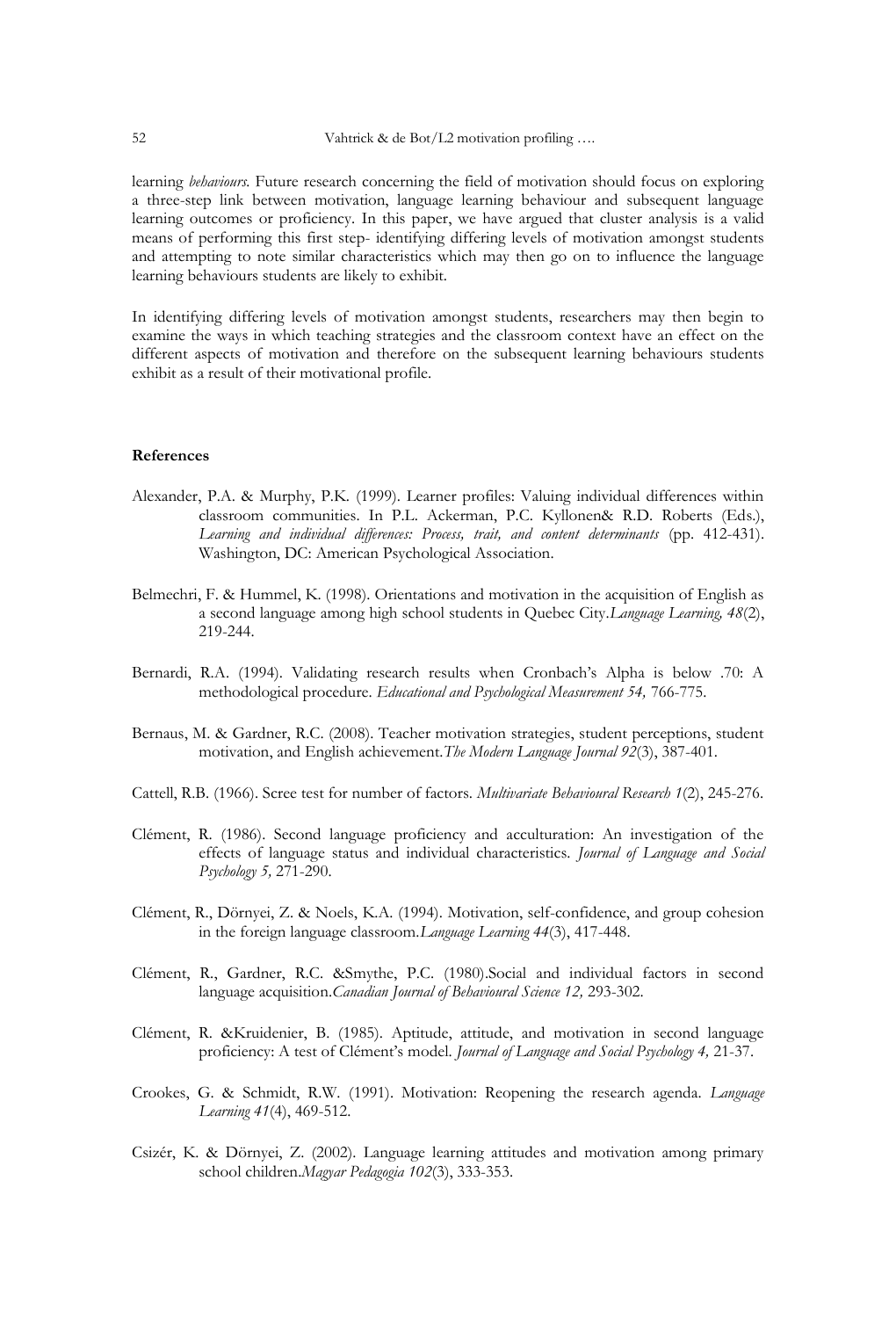learning *behaviours.* Future research concerning the field of motivation should focus on exploring a three-step link between motivation, language learning behaviour and subsequent language learning outcomes or proficiency. In this paper, we have argued that cluster analysis is a valid means of performing this first step- identifying differing levels of motivation amongst students and attempting to note similar characteristics which may then go on to influence the language learning behaviours students are likely to exhibit.

In identifying differing levels of motivation amongst students, researchers may then begin to examine the ways in which teaching strategies and the classroom context have an effect on the different aspects of motivation and therefore on the subsequent learning behaviours students exhibit as a result of their motivational profile.

#### **References**

- Alexander, P.A. & Murphy, P.K. (1999). Learner profiles: Valuing individual differences within classroom communities. In P.L. Ackerman, P.C. Kyllonen& R.D. Roberts (Eds.), *Learning and individual differences: Process, trait, and content determinants* (pp. 412-431). Washington, DC: American Psychological Association.
- Belmechri, F. & Hummel, K. (1998). Orientations and motivation in the acquisition of English as a second language among high school students in Quebec City.*Language Learning, 48*(2), 219-244.
- Bernardi, R.A. (1994). Validating research results when Cronbach"s Alpha is below .70: A methodological procedure. *Educational and Psychological Measurement 54,* 766-775.
- Bernaus, M. & Gardner, R.C. (2008). Teacher motivation strategies, student perceptions, student motivation, and English achievement.*The Modern Language Journal 92*(3), 387-401.
- Cattell, R.B. (1966). Scree test for number of factors. *Multivariate Behavioural Research 1*(2), 245-276.
- Clément, R. (1986). Second language proficiency and acculturation: An investigation of the effects of language status and individual characteristics. *Journal of Language and Social Psychology 5,* 271-290.
- Clément, R., Dörnyei, Z. & Noels, K.A. (1994). Motivation, self-confidence, and group cohesion in the foreign language classroom.*Language Learning 44*(3), 417-448.
- Clément, R., Gardner, R.C. &Smythe, P.C. (1980).Social and individual factors in second language acquisition.*Canadian Journal of Behavioural Science 12,* 293-302.
- Clément, R. &Kruidenier, B. (1985). Aptitude, attitude, and motivation in second language proficiency: A test of Clément"s model. *Journal of Language and Social Psychology 4,* 21-37.
- Crookes, G. & Schmidt, R.W. (1991). Motivation: Reopening the research agenda. *Language Learning 41*(4), 469-512.
- Csizér, K. & Dörnyei, Z. (2002). Language learning attitudes and motivation among primary school children.*Magyar Pedagogia 102*(3), 333-353.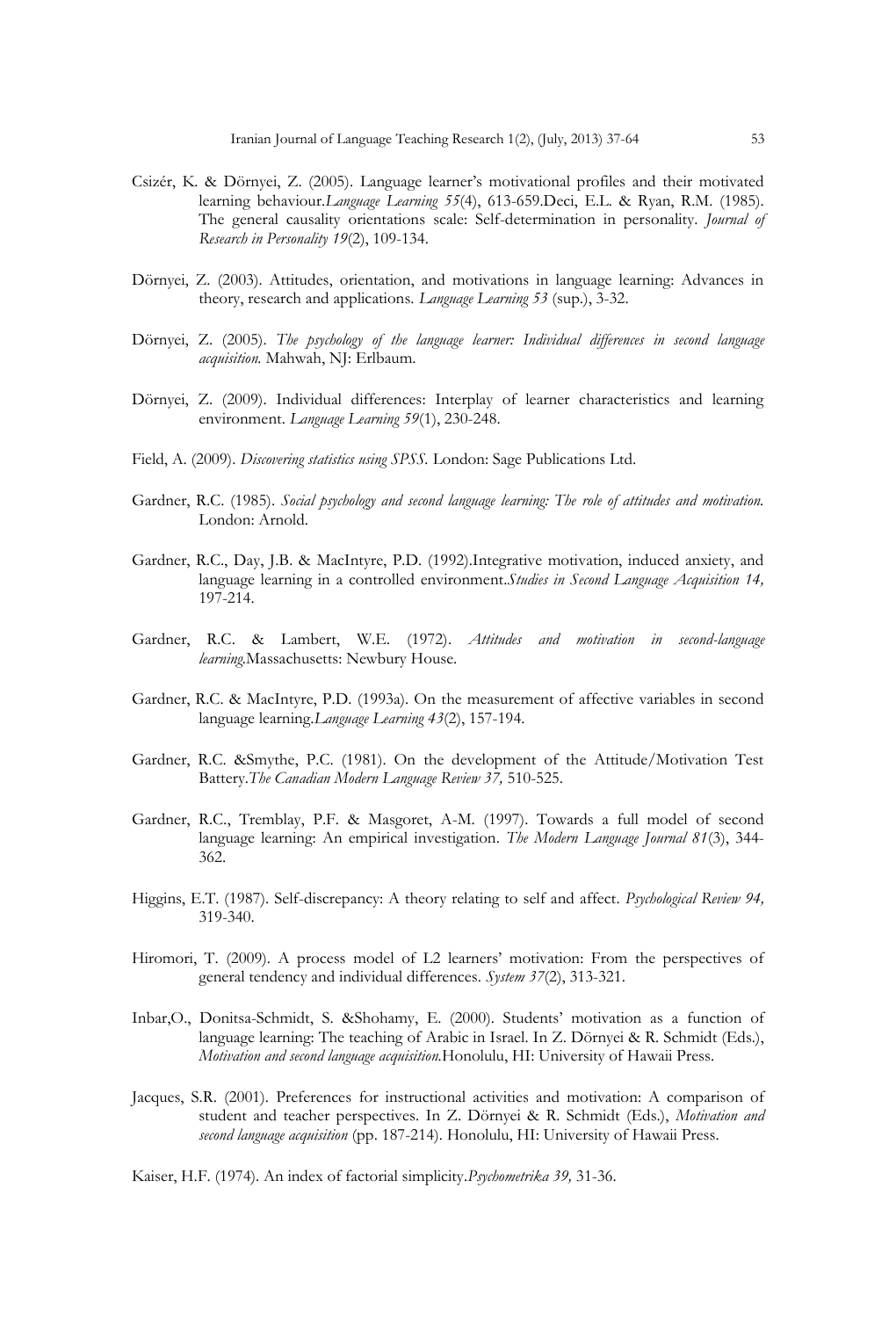- Csizér, K. & Dörnyei, Z. (2005). Language learner"s motivational profiles and their motivated learning behaviour.*Language Learning 55*(4), 613-659.Deci, E.L. & Ryan, R.M. (1985). The general causality orientations scale: Self-determination in personality. *Journal of Research in Personality 19*(2), 109-134.
- Dörnyei, Z. (2003). Attitudes, orientation, and motivations in language learning: Advances in theory, research and applications. *Language Learning 53* (sup.), 3-32.
- Dörnyei, Z. (2005). *The psychology of the language learner: Individual differences in second language acquisition.* Mahwah, NJ: Erlbaum.
- Dörnyei, Z. (2009). Individual differences: Interplay of learner characteristics and learning environment. *Language Learning 59*(1), 230-248.
- Field, A. (2009). *Discovering statistics using SPSS.* London: Sage Publications Ltd.
- Gardner, R.C. (1985). *Social psychology and second language learning: The role of attitudes and motivation.* London: Arnold.
- Gardner, R.C., Day, J.B. & MacIntyre, P.D. (1992).Integrative motivation, induced anxiety, and language learning in a controlled environment.*Studies in Second Language Acquisition 14,*  197-214.
- Gardner, R.C. & Lambert, W.E. (1972). *Attitudes and motivation in second-language learning.*Massachusetts: Newbury House.
- Gardner, R.C. & MacIntyre, P.D. (1993a). On the measurement of affective variables in second language learning.*Language Learning 43*(2), 157-194.
- Gardner, R.C. &Smythe, P.C. (1981). On the development of the Attitude/Motivation Test Battery.*The Canadian Modern Language Review 37,* 510-525.
- Gardner, R.C., Tremblay, P.F. & Masgoret, A-M. (1997). Towards a full model of second language learning: An empirical investigation. *The Modern Language Journal 81*(3), 344- 362.
- Higgins, E.T. (1987). Self-discrepancy: A theory relating to self and affect. *Psychological Review 94,*  319-340.
- Hiromori, T. (2009). A process model of L2 learners' motivation: From the perspectives of general tendency and individual differences. *System 37*(2), 313-321.
- Inbar,O., Donitsa-Schmidt, S. &Shohamy, E. (2000). Students" motivation as a function of language learning: The teaching of Arabic in Israel. In Z. Dörnyei & R. Schmidt (Eds.), *Motivation and second language acquisition.*Honolulu, HI: University of Hawaii Press.
- Jacques, S.R. (2001). Preferences for instructional activities and motivation: A comparison of student and teacher perspectives. In Z. Dörnyei & R. Schmidt (Eds.), *Motivation and second language acquisition* (pp. 187-214). Honolulu, HI: University of Hawaii Press.

Kaiser, H.F. (1974). An index of factorial simplicity.*Psychometrika 39,* 31-36.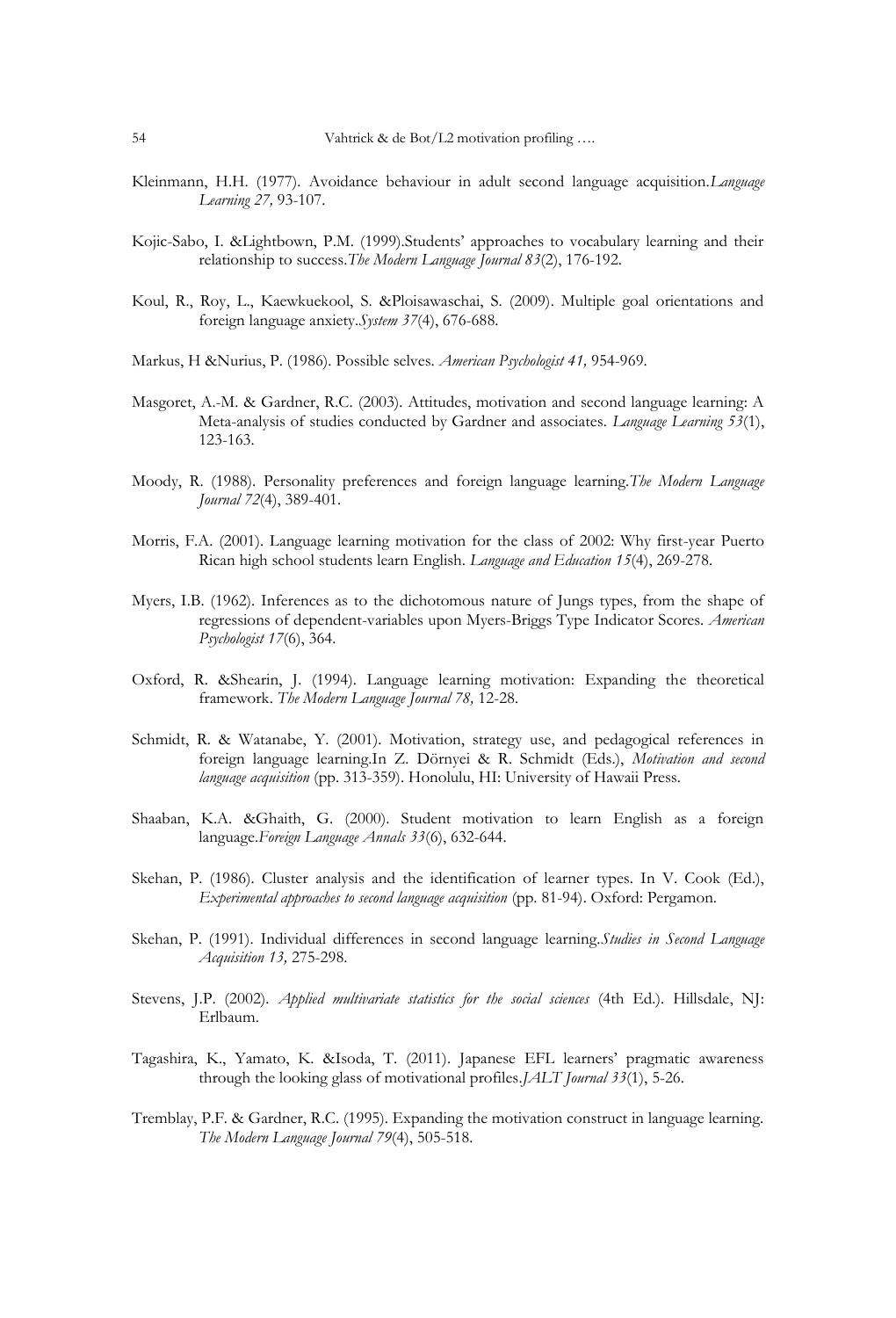- Kleinmann, H.H. (1977). Avoidance behaviour in adult second language acquisition.*Language Learning 27,* 93-107.
- Kojic-Sabo, I. &Lightbown, P.M. (1999).Students" approaches to vocabulary learning and their relationship to success.*The Modern Language Journal 83*(2), 176-192.
- Koul, R., Roy, L., Kaewkuekool, S. &Ploisawaschai, S. (2009). Multiple goal orientations and foreign language anxiety.*System 37*(4), 676-688.
- Markus, H &Nurius, P. (1986). Possible selves. *American Psychologist 41,* 954-969.
- Masgoret, A.-M. & Gardner, R.C. (2003). Attitudes, motivation and second language learning: A Meta-analysis of studies conducted by Gardner and associates. *Language Learning 53*(1), 123-163.
- Moody, R. (1988). Personality preferences and foreign language learning.*The Modern Language Journal 72*(4), 389-401.
- Morris, F.A. (2001). Language learning motivation for the class of 2002: Why first-year Puerto Rican high school students learn English. *Language and Education 15*(4), 269-278.
- Myers, I.B. (1962). Inferences as to the dichotomous nature of Jungs types, from the shape of regressions of dependent-variables upon Myers-Briggs Type Indicator Scores. *American Psychologist 17*(6), 364.
- Oxford, R. &Shearin, J. (1994). Language learning motivation: Expanding the theoretical framework. *The Modern Language Journal 78,* 12-28.
- Schmidt, R. & Watanabe, Y. (2001). Motivation, strategy use, and pedagogical references in foreign language learning.In Z. Dörnyei & R. Schmidt (Eds.), *Motivation and second language acquisition* (pp. 313-359). Honolulu, HI: University of Hawaii Press.
- Shaaban, K.A. &Ghaith, G. (2000). Student motivation to learn English as a foreign language.*Foreign Language Annals 33*(6), 632-644.
- Skehan, P. (1986). Cluster analysis and the identification of learner types. In V. Cook (Ed.), *Experimental approaches to second language acquisition* (pp. 81-94). Oxford: Pergamon.
- Skehan, P. (1991). Individual differences in second language learning.*Studies in Second Language Acquisition 13,* 275-298.
- Stevens, J.P. (2002). *Applied multivariate statistics for the social sciences* (4th Ed.). Hillsdale, NJ: Erlbaum.
- Tagashira, K., Yamato, K. &Isoda, T. (2011). Japanese EFL learners" pragmatic awareness through the looking glass of motivational profiles.*JALT Journal 33*(1), 5-26.
- Tremblay, P.F. & Gardner, R.C. (1995). Expanding the motivation construct in language learning. *The Modern Language Journal 79*(4), 505-518.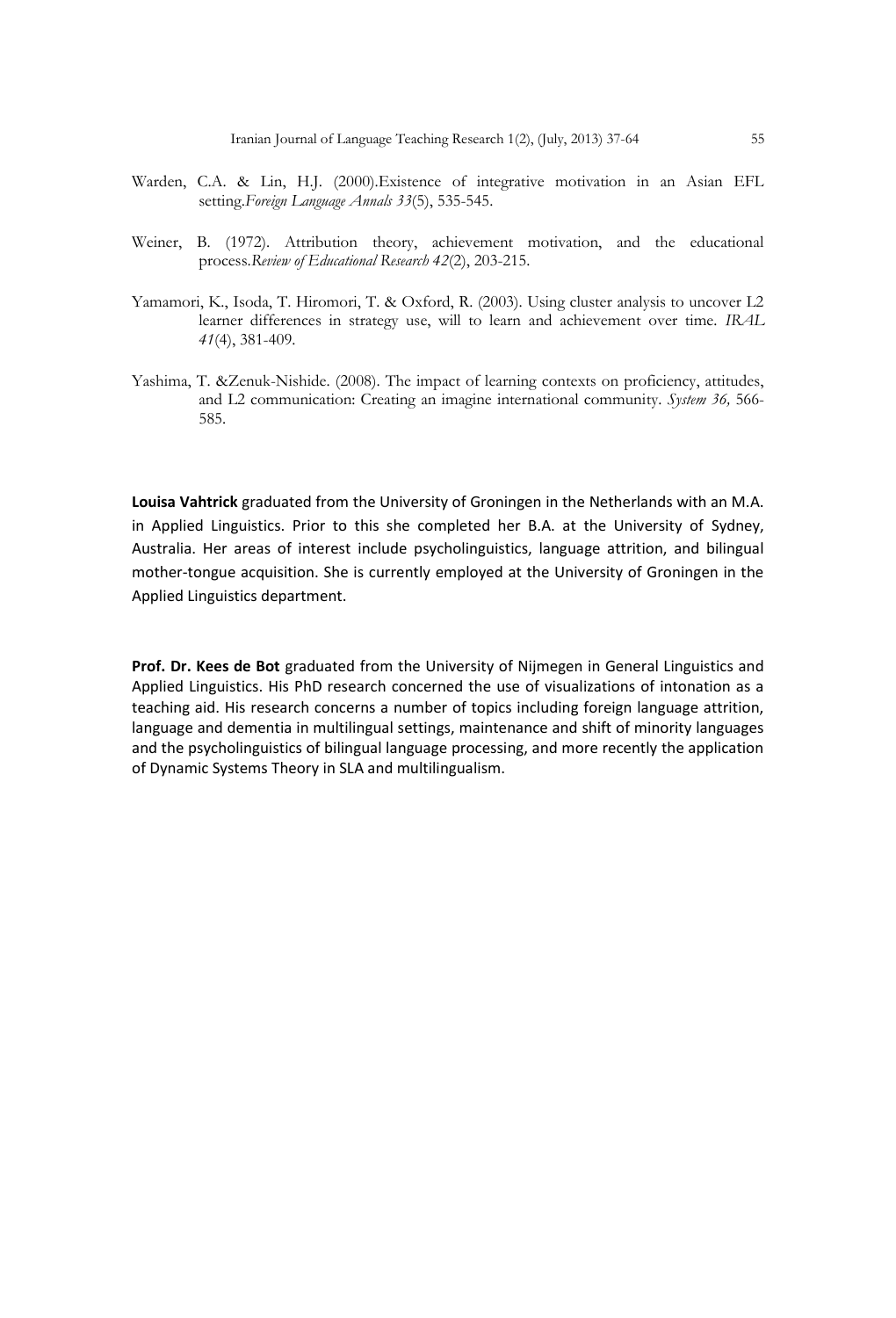- Warden, C.A. & Lin, H.J. (2000).Existence of integrative motivation in an Asian EFL setting.*Foreign Language Annals 33*(5), 535-545.
- Weiner, B. (1972). Attribution theory, achievement motivation, and the educational process.*Review of Educational Research 42*(2), 203-215.
- Yamamori, K., Isoda, T. Hiromori, T. & Oxford, R. (2003). Using cluster analysis to uncover L2 learner differences in strategy use, will to learn and achievement over time. *IRAL 41*(4), 381-409.
- Yashima, T. &Zenuk-Nishide. (2008). The impact of learning contexts on proficiency, attitudes, and L2 communication: Creating an imagine international community. *System 36,* 566- 585.

**Louisa Vahtrick** graduated from the University of Groningen in the Netherlands with an M.A. in Applied Linguistics. Prior to this she completed her B.A. at the University of Sydney, Australia. Her areas of interest include psycholinguistics, language attrition, and bilingual mother-tongue acquisition. She is currently employed at the University of Groningen in the Applied Linguistics department.

**Prof. Dr. Kees de Bot** graduated from the University of Nijmegen in General Linguistics and Applied Linguistics. His PhD research concerned the use of visualizations of intonation as a teaching aid. His research concerns a number of topics including foreign language attrition, language and dementia in multilingual settings, maintenance and shift of minority languages and the psycholinguistics of bilingual language processing, and more recently the application of Dynamic Systems Theory in SLA and multilingualism.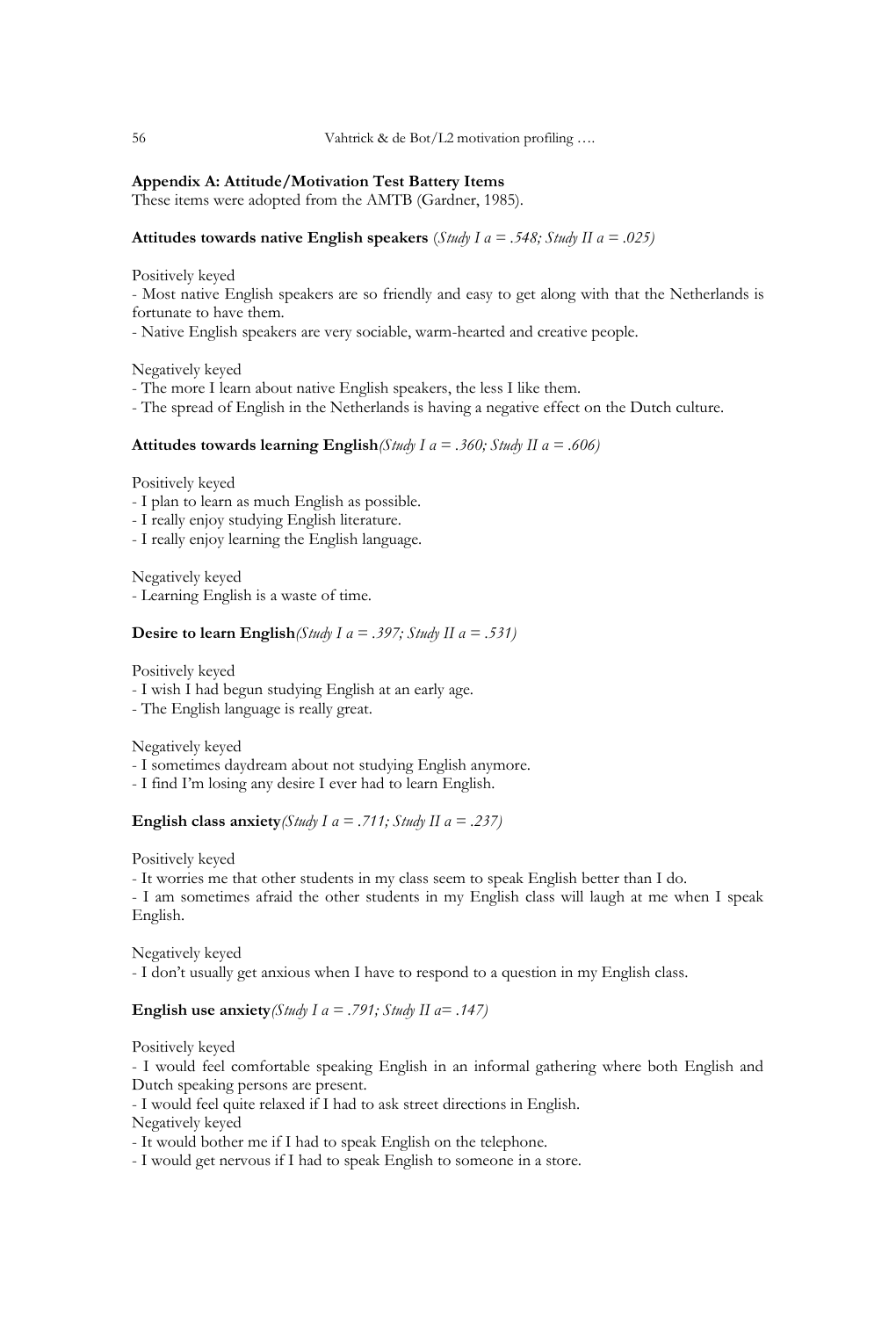# **Appendix A: Attitude/Motivation Test Battery Items**

These items were adopted from the AMTB (Gardner, 1985).

# **Attitudes towards native English speakers** (*Study I α = .548; Study II α = .025)*

Positively keyed

- Most native English speakers are so friendly and easy to get along with that the Netherlands is fortunate to have them.

- Native English speakers are very sociable, warm-hearted and creative people.

Negatively keyed

- The more I learn about native English speakers, the less I like them.
- The spread of English in the Netherlands is having a negative effect on the Dutch culture.

# **Attitudes towards learning English***(Study I α = .360; Study II α = .606)*

Positively keyed

- I plan to learn as much English as possible.
- I really enjoy studying English literature.
- I really enjoy learning the English language.

Negatively keyed - Learning English is a waste of time.

# **Desire to learn English***(Study I α = .397; Study II α = .531)*

Positively keyed

- I wish I had begun studying English at an early age.
- The English language is really great.

Negatively keyed

- I sometimes daydream about not studying English anymore.
- I find I"m losing any desire I ever had to learn English.

**English class anxiety***(Study I α = .711; Study II α = .237)*

Positively keyed

- It worries me that other students in my class seem to speak English better than I do.

- I am sometimes afraid the other students in my English class will laugh at me when I speak English.

Negatively keyed - I don"t usually get anxious when I have to respond to a question in my English class.

**English use anxiety***(Study I α = .791; Study II α= .147)*

Positively keyed

- I would feel comfortable speaking English in an informal gathering where both English and Dutch speaking persons are present.

- I would feel quite relaxed if I had to ask street directions in English.

Negatively keyed

- It would bother me if I had to speak English on the telephone.

- I would get nervous if I had to speak English to someone in a store.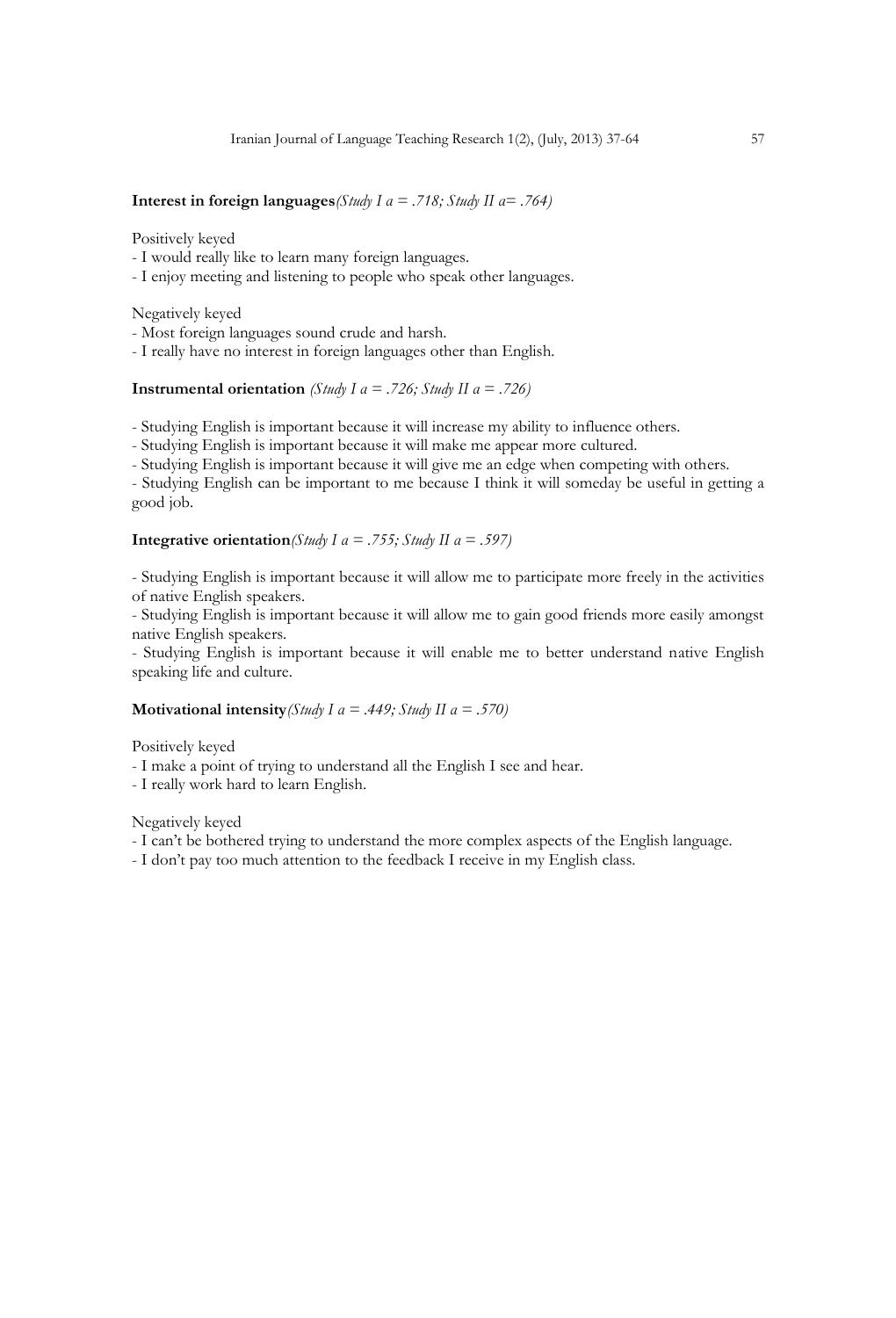# **Interest in foreign languages***(Study I α = .718; Study II α= .764)*

Positively keyed

- I would really like to learn many foreign languages.
- I enjoy meeting and listening to people who speak other languages.

Negatively keyed

- Most foreign languages sound crude and harsh.

- I really have no interest in foreign languages other than English.

# **Instrumental orientation** *(Study I α = .726; Study II α = .726)*

- Studying English is important because it will increase my ability to influence others.

- Studying English is important because it will make me appear more cultured.

- Studying English is important because it will give me an edge when competing with others.

- Studying English can be important to me because I think it will someday be useful in getting a good job.

# **Integrative orientation***(Study I α = .755; Study II α = .597)*

- Studying English is important because it will allow me to participate more freely in the activities of native English speakers.

- Studying English is important because it will allow me to gain good friends more easily amongst native English speakers.

- Studying English is important because it will enable me to better understand native English speaking life and culture.

# **Motivational intensity***(Study I α = .449; Study II α = .570)*

Positively keyed

- I make a point of trying to understand all the English I see and hear.

- I really work hard to learn English.

Negatively keyed

- I can't be bothered trying to understand the more complex aspects of the English language.

- I don"t pay too much attention to the feedback I receive in my English class.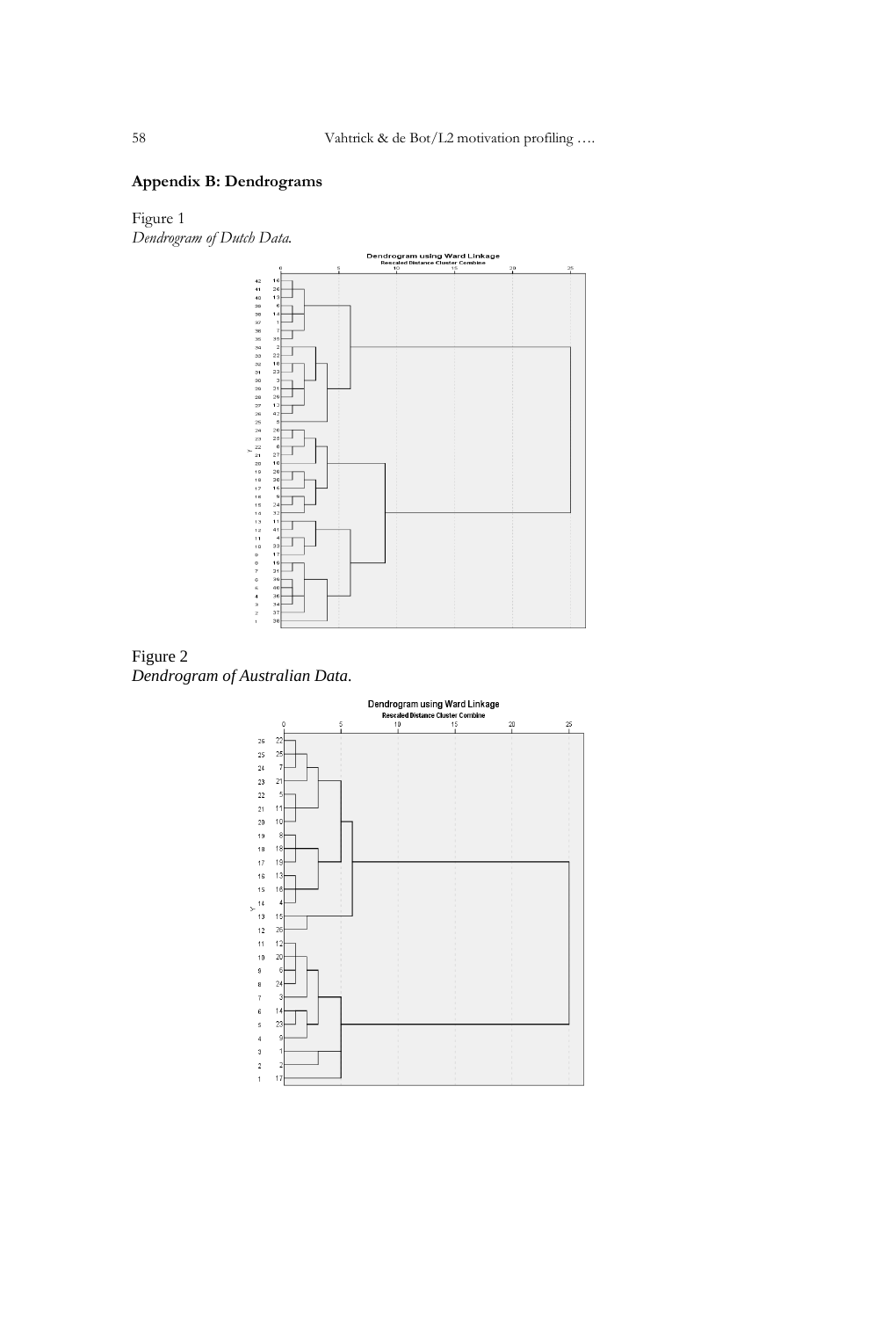# **Appendix B: Dendrograms**

Figure 1 *Dendrogram of Dutch Data.*





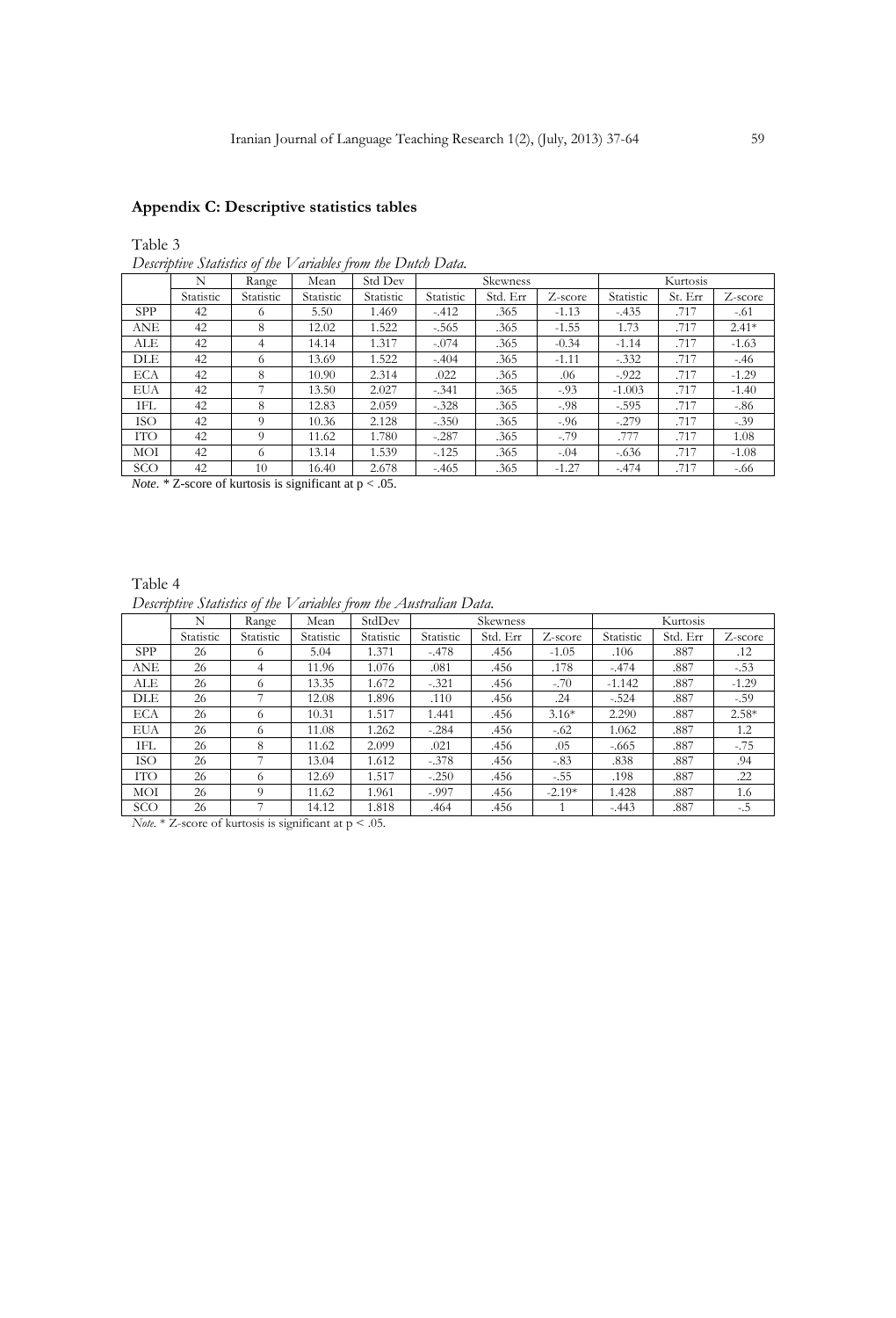# **Appendix C: Descriptive statistics tables**

Table 3

*Descriptive Statistics of the Variables from the Dutch Data.*

|            | N         | Range     | Mean      | Std Dev   |           | Skewness |         |           | Kurtosis |         |
|------------|-----------|-----------|-----------|-----------|-----------|----------|---------|-----------|----------|---------|
|            | Statistic | Statistic | Statistic | Statistic | Statistic | Std. Err | Z-score | Statistic | St. Err  | Z-score |
| <b>SPP</b> | 42        | 6         | 5.50      | 1.469     | $-.412$   | .365     | $-1.13$ | $-.435$   | .717     | $-.61$  |
| ANE        | 42        | 8         | 12.02     | 1.522     | $-.565$   | .365     | $-1.55$ | 1.73      | .717     | $2.41*$ |
| ALE        | 42        | 4         | 14.14     | 1.317     | $-.074$   | .365     | $-0.34$ | $-1.14$   | .717     | $-1.63$ |
| DLE        | 42        | 6         | 13.69     | 1.522     | $-.404$   | .365     | $-1.11$ | $-.332$   | .717     | $-.46$  |
| <b>ECA</b> | 42        | 8         | 10.90     | 2.314     | .022      | .365     | .06     | $-.922$   | .717     | $-1.29$ |
| EUA        | 42        |           | 13.50     | 2.027     | $-.341$   | .365     | $-.93$  | $-1.003$  | .717     | $-1.40$ |
| IFL        | 42        | 8         | 12.83     | 2.059     | $-.328$   | .365     | $-.98$  | $-.595$   | .717     | $-.86$  |
| ISO        | 42        | 9         | 10.36     | 2.128     | $-.350$   | .365     | $-.96$  | $-.279$   | .717     | $-.39$  |
| ITO        | 42        | 9         | 11.62     | 1.780     | $-.287$   | .365     | $-.79$  | .777      | .717     | 1.08    |
| MOI        | 42        | 6         | 13.14     | 1.539     | $-.125$   | .365     | $-.04$  | $-.636$   | .717     | $-1.08$ |
| SCO        | 42        | 10        | 16.40     | 2.678     | $-.465$   | .365     | $-1.27$ | $-.474$   | .717     | $-.66$  |

*Note.* \* Z-score of kurtosis is significant at  $p < .05$ .

# Table 4 *Descriptive Statistics of the Variables from the Australian Data.*

|            | N         | Range     | Mean      | StdDev    |           | Skewness |          |           | Kurtosis |         |
|------------|-----------|-----------|-----------|-----------|-----------|----------|----------|-----------|----------|---------|
|            | Statistic | Statistic | Statistic | Statistic | Statistic | Std. Err | Z-score  | Statistic | Std. Err | Z-score |
| <b>SPP</b> | 26        | 6.        | 5.04      | 1.371     | $-.478$   | .456     | $-1.05$  | .106      | .887     | .12     |
| ANE        | 26        | 4         | 11.96     | 1.076     | .081      | .456     | .178     | $-.474$   | .887     | $-.53$  |
| ALE        | 26        | 6         | 13.35     | 1.672     | $-.321$   | .456     | $-.70$   | $-1.142$  | .887     | $-1.29$ |
| DLE        | 26        |           | 12.08     | 1.896     | .110      | .456     | .24      | $-.524$   | .887     | $-.59$  |
| ECA        | 26        | 6         | 10.31     | 1.517     | 1.441     | .456     | $3.16*$  | 2.290     | .887     | $2.58*$ |
| EUA        | 26        | 6         | 11.08     | 1.262     | $-.284$   | .456     | $-.62$   | 1.062     | .887     | 1.2     |
| IFL        | 26        | 8         | 11.62     | 2.099     | .021      | .456     | .05      | $-.665$   | .887     | $-.75$  |
| ISO        | 26        |           | 13.04     | 1.612     | $-.378$   | .456     | $-.83$   | .838      | .887     | .94     |
| <b>ITO</b> | 26        | 6         | 12.69     | 1.517     | $-.250$   | .456     | $-.55$   | .198      | .887     | .22     |
| MOI        | 26        | 9         | 11.62     | 1.961     | $-.997$   | .456     | $-2.19*$ | 1.428     | .887     | 1.6     |
| SCO        | 26        |           | 14.12     | 1.818     | .464      | .456     |          | $-.443$   | .887     | $-.5$   |

*Note.* \* Z-score of kurtosis is significant at p < .05.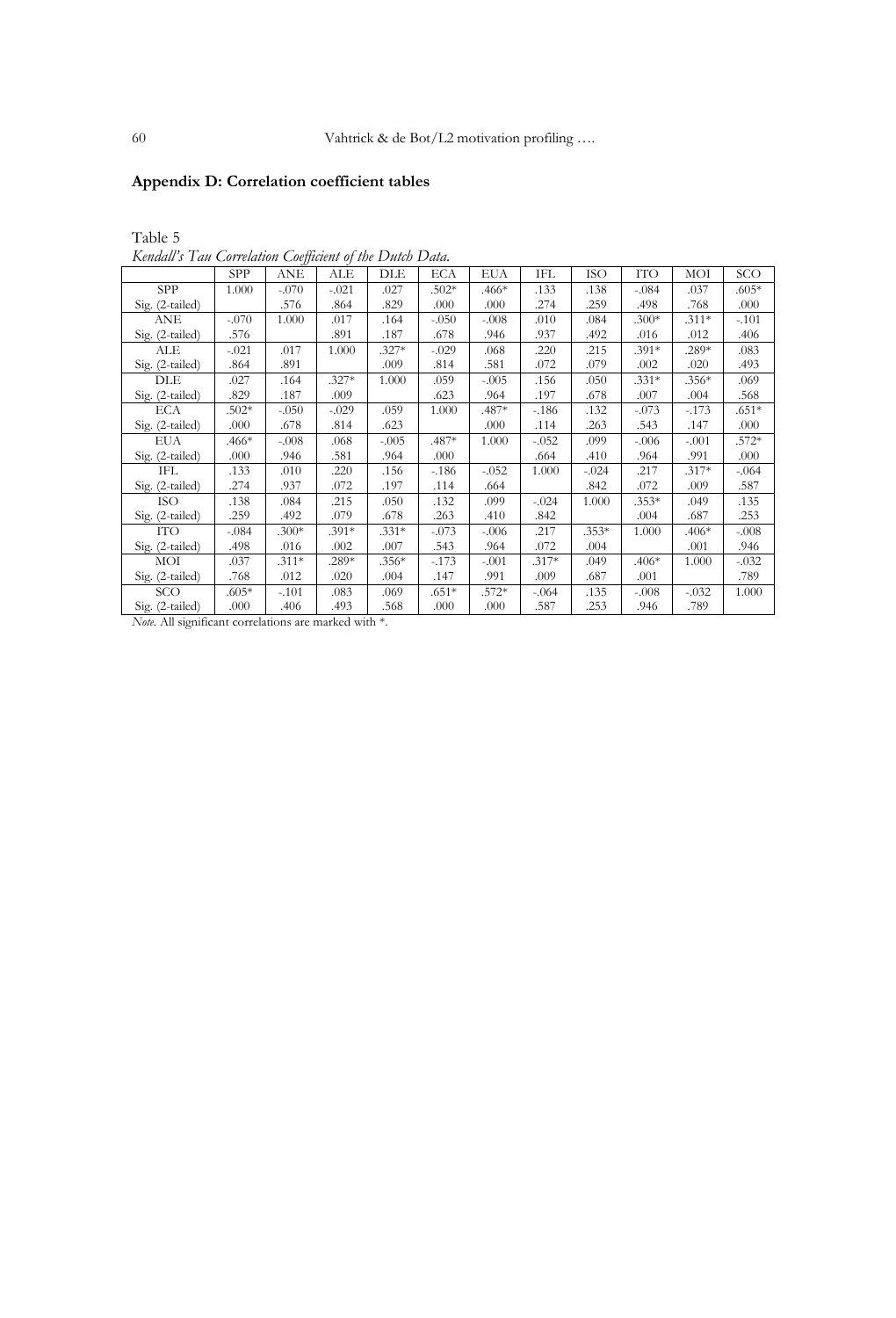# **Appendix D: Correlation coefficient tables**

Table 5

*Kendall's Tau Correlation Coefficient of the Dutch Data.* 

|                 | <b>SPP</b> | ANE     | ALE     | DLE     | ECA     | <b>EUA</b> | IFL     | <b>ISO</b> | <b>ITO</b> | MOI     | SCO     |
|-----------------|------------|---------|---------|---------|---------|------------|---------|------------|------------|---------|---------|
| SPP             | 1.000      | $-.070$ | $-.021$ | .027    | $.502*$ | $.466*$    | .133    | .138       | $-.084$    | .037    | $.605*$ |
| Sig. (2-tailed) |            | .576    | .864    | .829    | .000    | .000       | .274    | .259       | .498       | .768    | .000    |
| ANE             | $-.070$    | 1.000   | .017    | .164    | $-.050$ | $-.008$    | .010    | .084       | $.300*$    | $.311*$ | $-.101$ |
| Sig. (2-tailed) | .576       |         | .891    | .187    | .678    | .946       | .937    | .492       | .016       | .012    | .406    |
| ALE             | $-.021$    | .017    | 1.000   | $.327*$ | $-.029$ | .068       | .220    | .215       | .391*      | $.289*$ | .083    |
| Sig. (2-tailed) | .864       | .891    |         | .009    | .814    | .581       | .072    | .079       | .002       | .020    | .493    |
| DLE             | .027       | .164    | $.327*$ | 1.000   | .059    | $-.005$    | .156    | .050       | $.331*$    | $.356*$ | .069    |
| Sig. (2-tailed) | .829       | .187    | .009    |         | .623    | .964       | .197    | .678       | .007       | .004    | .568    |
| ECA             | $.502*$    | $-.050$ | $-.029$ | .059    | 1.000   | .487*      | $-.186$ | .132       | $-.073$    | $-.173$ | $.651*$ |
| Sig. (2-tailed) | .000       | .678    | .814    | .623    |         | .000       | .114    | .263       | .543       | .147    | .000    |
| <b>EUA</b>      | $.466*$    | $-.008$ | .068    | $-.005$ | .487*   | 1.000      | $-.052$ | .099       | $-.006$    | $-.001$ | $.572*$ |
| Sig. (2-tailed) | .000       | .946    | .581    | .964    | .000    |            | .664    | .410       | .964       | .991    | .000    |
| IFL             | .133       | .010    | .220    | .156    | $-186$  | $-.052$    | 1.000   | $-.024$    | .217       | $.317*$ | $-.064$ |
| Sig. (2-tailed) | .274       | .937    | .072    | .197    | .114    | .664       |         | .842       | .072       | .009    | .587    |
| ISO             | .138       | .084    | .215    | .050    | .132    | .099       | $-.024$ | 1.000      | $.353*$    | .049    | .135    |
| Sig. (2-tailed) | .259       | .492    | .079    | .678    | .263    | .410       | .842    |            | .004       | .687    | .253    |
| ITO             | $-.084$    | $.300*$ | $.391*$ | $.331*$ | $-.073$ | $-.006$    | .217    | $.353*$    | 1.000      | .406*   | $-.008$ |
| Sig. (2-tailed) | .498       | .016    | .002    | .007    | .543    | .964       | .072    | .004       |            | .001    | .946    |
| MOI             | .037       | $.311*$ | .289*   | $.356*$ | $-.173$ | $-.001$    | $.317*$ | .049       | $.406*$    | 1.000   | $-.032$ |
| Sig. (2-tailed) | .768       | .012    | .020    | .004    | .147    | .991       | .009    | .687       | .001       |         | .789    |
| SCO             | .605*      | $-.101$ | .083    | .069    | .651*   | .572*      | $-.064$ | .135       | $-.008$    | $-.032$ | 1.000   |
| Sig. (2-tailed) | .000       | .406    | .493    | .568    | .000    | .000       | .587    | .253       | .946       | .789    |         |

*Note.* All significant correlations are marked with \*.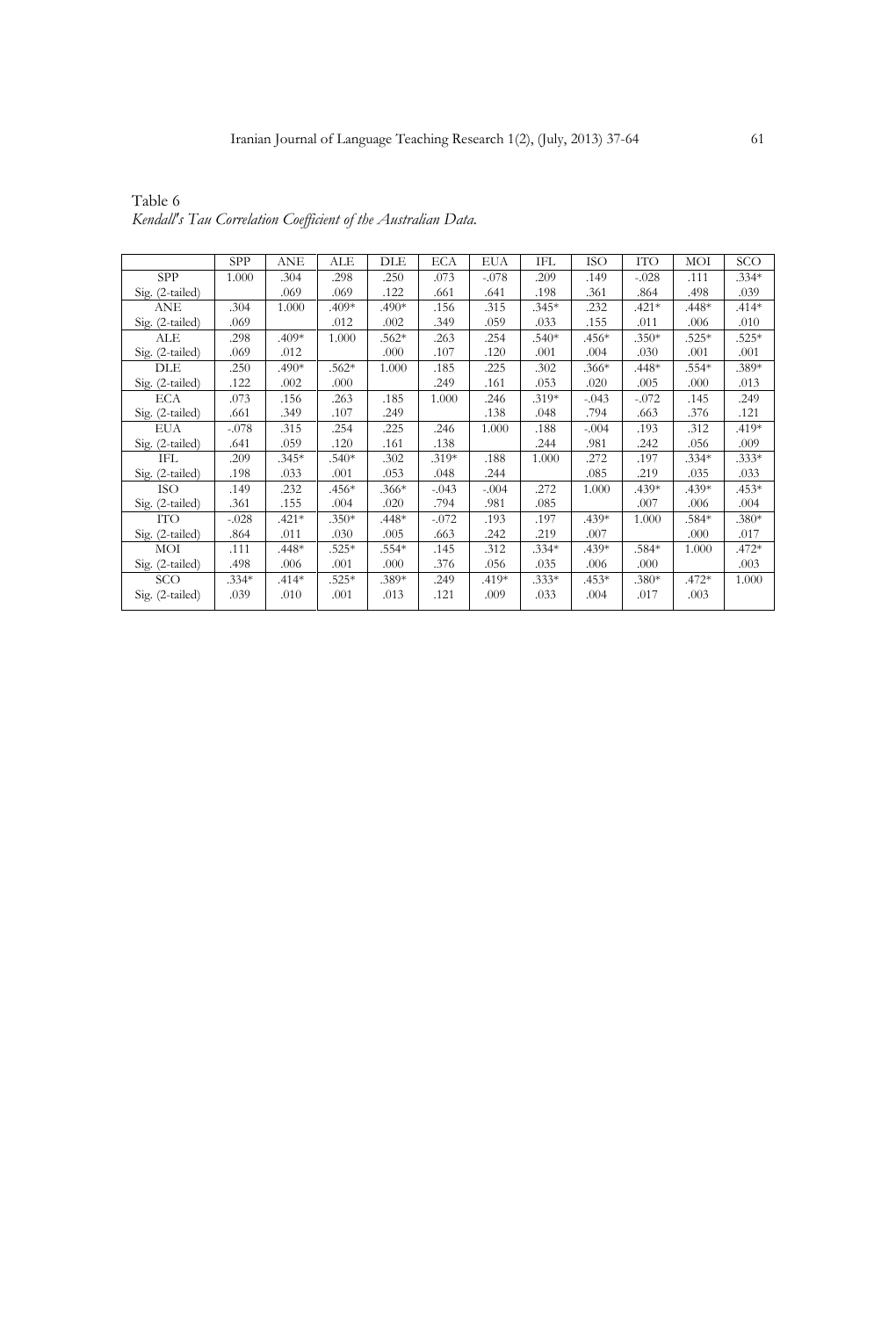|                 | <b>SPP</b> | ANE     | ALE     | DLE     | <b>ECA</b> | <b>EUA</b> | IFL     | <b>ISO</b> | ITO     | MOI     | SCO     |
|-----------------|------------|---------|---------|---------|------------|------------|---------|------------|---------|---------|---------|
| <b>SPP</b>      | 1.000      | .304    | .298    | .250    | .073       | $-.078$    | .209    | .149       | $-.028$ | .111    | $.334*$ |
| Sig. (2-tailed) |            | .069    | .069    | .122    | .661       | .641       | .198    | .361       | .864    | .498    | .039    |
| <b>ANE</b>      | .304       | 1.000   | .409*   | $.490*$ | .156       | .315       | $.345*$ | .232       | $.421*$ | $.448*$ | $.414*$ |
| Sig. (2-tailed) | .069       |         | .012    | .002    | .349       | .059       | .033    | .155       | .011    | .006    | .010    |
| ALE             | .298       | .409*   | 1.000   | $.562*$ | .263       | .254       | $.540*$ | $.456*$    | $.350*$ | $.525*$ | $.525*$ |
| Sig. (2-tailed) | .069       | .012    |         | .000    | .107       | .120       | .001    | .004       | .030    | .001    | .001    |
| DLE             | .250       | .490*   | $.562*$ | 1.000   | .185       | .225       | .302    | $.366*$    | $.448*$ | $.554*$ | .389*   |
| Sig. (2-tailed) | .122       | .002    | .000    |         | .249       | .161       | .053    | .020       | .005    | .000    | .013    |
| ECA             | .073       | .156    | .263    | .185    | 1.000      | .246       | $.319*$ | $-.043$    | $-.072$ | .145    | .249    |
| Sig. (2-tailed) | .661       | .349    | .107    | .249    |            | .138       | .048    | .794       | .663    | .376    | .121    |
| EUA             | $-.078$    | .315    | .254    | .225    | .246       | 1.000      | .188    | $-.004$    | .193    | .312    | .419*   |
| Sig. (2-tailed) | .641       | .059    | .120    | .161    | .138       |            | .244    | .981       | .242    | .056    | .009    |
| IFL             | .209       | $.345*$ | $.540*$ | .302    | $.319*$    | .188       | 1.000   | .272       | .197    | $.334*$ | $.333*$ |
| Sig. (2-tailed) | .198       | .033    | .001    | .053    | .048       | .244       |         | .085       | .219    | .035    | .033    |
| ISO             | .149       | .232    | $.456*$ | $.366*$ | $-.043$    | $-.004$    | .272    | 1.000      | .439*   | $.439*$ | $.453*$ |
| Sig. (2-tailed) | .361       | .155    | .004    | .020    | .794       | .981       | .085    |            | .007    | .006    | .004    |
| <b>ITO</b>      | $-.028$    | $.421*$ | $.350*$ | $.448*$ | $-.072$    | .193       | .197    | $.439*$    | 1.000   | .584*   | $.380*$ |
| Sig. (2-tailed) | .864       | .011    | .030    | .005    | .663       | .242       | .219    | .007       |         | .000    | .017    |
| MOI             | .111       | $.448*$ | $.525*$ | .554*   | .145       | .312       | $.334*$ | $.439*$    | $.584*$ | 1.000   | .472*   |
| Sig. (2-tailed) | .498       | .006    | .001    | .000    | .376       | .056       | .035    | .006       | .000    |         | .003    |
| SCO             | $.334*$    | $.414*$ | $.525*$ | .389*   | .249       | .419*      | $.333*$ | $.453*$    | $.380*$ | $.472*$ | 1.000   |
| Sig. (2-tailed) | .039       | .010    | .001    | .013    | .121       | .009       | .033    | .004       | .017    | .003    |         |
|                 |            |         |         |         |            |            |         |            |         |         |         |

Table 6 *Kendall's Tau Correlation Coefficient of the Australian Data.*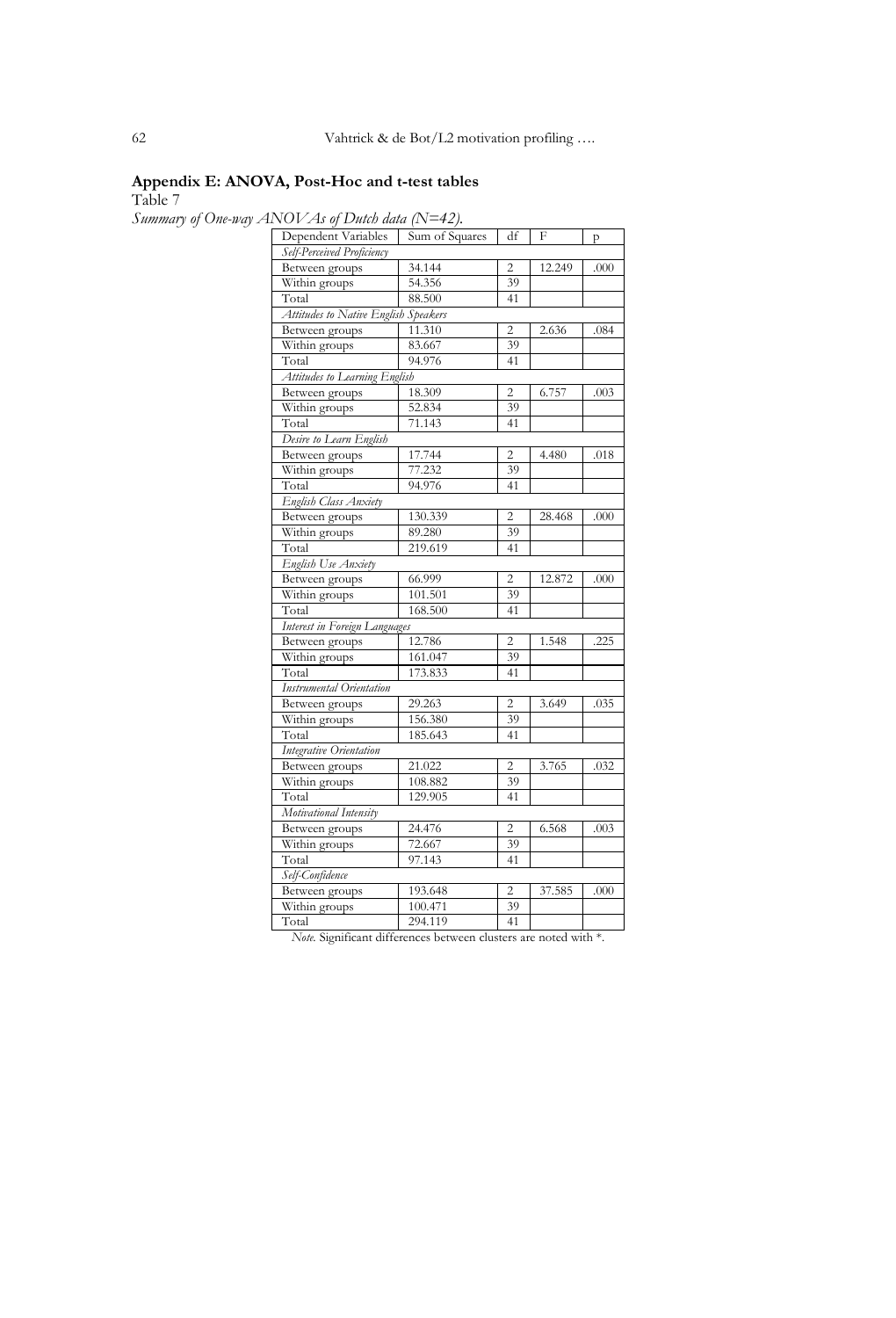# **Appendix E: ANOVA, Post-Hoc and t-test tables**

Table 7

*Summary of One-way ANOVAs of Dutch data (N=42).* 

| $1$ NOV As of Dhuo aan $1$ N $-$ +2).<br>Dependent Variables | Sum of Squares | df             | F      | p    |
|--------------------------------------------------------------|----------------|----------------|--------|------|
| Self-Perceived Proficiency                                   |                |                |        |      |
| Between groups                                               | 34.144         | 2              | 12.249 | .000 |
| Within groups                                                | 54.356         | 39             |        |      |
| Total                                                        | 88.500         | 41             |        |      |
| Attitudes to Native English Speakers                         |                |                |        |      |
| Between groups                                               | 11.310         | 2              | 2.636  | .084 |
| Within groups                                                | 83.667         | 39             |        |      |
| Total                                                        | 94.976         | 41             |        |      |
| Attitudes to Learning English                                |                |                |        |      |
| Between groups                                               | 18.309         | $\overline{c}$ | 6.757  | .003 |
| Within groups                                                | 52.834         | 39             |        |      |
| Total                                                        | 71.143         | 41             |        |      |
| Desire to Learn English                                      |                |                |        |      |
| Between groups                                               | 17.744         | $\overline{c}$ | 4.480  | .018 |
| Within groups                                                | 77.232         | 39             |        |      |
| Total                                                        | 94.976         | 41             |        |      |
| English Class Anxiety                                        |                |                |        |      |
| Between groups                                               | 130.339        | 2              | 28.468 | .000 |
| Within groups                                                | 89.280         | 39             |        |      |
| Total                                                        | 219.619        | 41             |        |      |
| English Use Anxiety                                          |                |                |        |      |
| Between groups                                               | 66.999         | 2              | 12.872 | .000 |
| Within groups                                                | 101.501        | 39             |        |      |
| Total                                                        | 168.500        | 41             |        |      |
| Interest in Foreign Languages                                |                |                |        |      |
| Between groups                                               | 12.786         | $\overline{c}$ | 1.548  | .225 |
| Within groups                                                | 161.047        | 39             |        |      |
| Total                                                        | 173.833        | 41             |        |      |
| Instrumental Orientation                                     |                |                |        |      |
| Between groups                                               | 29.263         | $\overline{2}$ | 3.649  | .035 |
| Within groups                                                | 156.380        | 39             |        |      |
| Total                                                        | 185.643        | 41             |        |      |
| Integrative Orientation                                      |                |                |        |      |
| Between groups                                               | 21.022         | $\overline{c}$ | 3.765  | .032 |
| Within groups                                                | 108.882        | 39             |        |      |
| Total                                                        | 129.905        | 41             |        |      |
| Motivational Intensity                                       |                |                |        |      |
| Between groups                                               | 24.476         | $\overline{c}$ | 6.568  | .003 |
| Within groups                                                | 72.667         | 39             |        |      |
| Total                                                        | 97.143         | 41             |        |      |
| Self-Confidence                                              |                |                |        |      |
| Between groups                                               | 193.648        | $\overline{2}$ | 37.585 | .000 |
| Within groups                                                | 100.471        | 39             |        |      |
| Total                                                        | 294.119        | 41             |        |      |

*Note.* Significant differences between clusters are noted with \*.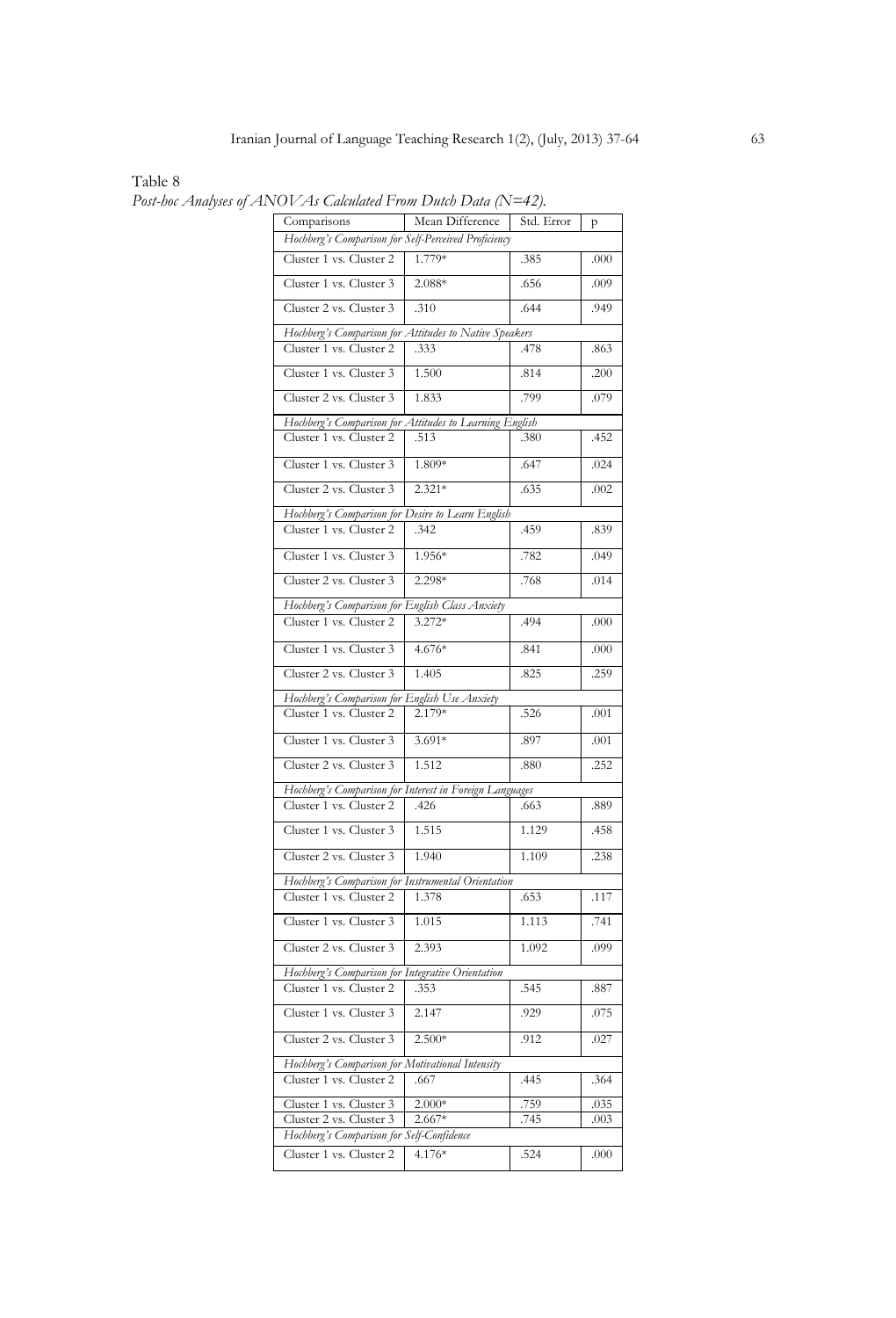Table 8

Comparisons Mean Difference Std. Error p *Hochberg's Comparison for Self-Perceived Proficiency* Cluster 1 vs. Cluster 2 1.779\* .385 .000 Cluster 1 vs. Cluster 3 2.088\* .656 .009 Cluster 2 vs. Cluster 3 .310 .644 .949 *Hochberg's Comparison for Attitudes to Native Speakers* Cluster 1 vs. Cluster 2 .333 .478 .863 Cluster 1 vs. Cluster 3 1.500 .814 .200 Cluster 2 vs. Cluster 3 1.833 .799 .079 *Hochberg's Comparison for Attitudes to Learning English* Cluster 1 vs. Cluster 2 .513 .380 .380 .452 Cluster 1 vs. Cluster 3 1.809\* .647 .024 Cluster 2 vs. Cluster 3 2.321\* .635 .002 *Hochberg's Comparison for Desire to Learn English* Cluster 1 vs. Cluster 2 .342 .459 .839 Cluster 1 vs. Cluster 3 | 1.956\* .782 .049 Cluster 2 vs. Cluster 3 2.298\* .768 .014 *Hochberg's Comparison for English Class Anxiety* Cluster 1 vs. Cluster 2 3.272\* .494 .000 Cluster 1 vs. Cluster 3 4.676\* .841 .000 Cluster 2 vs. Cluster 3 1.405 .825 .259 *Hochberg's Comparison for English Use Anxiety* Cluster 1 vs. Cluster 2 2.179\* .526 .001 Cluster 1 vs. Cluster 3 3.691\* .897 .001 Cluster 2 vs. Cluster 3 1.512 .880 .252 *Hochberg's Comparison for Interest in Foreign Languages* Cluster 1 vs. Cluster 2 .426 .663 .889 Cluster 1 vs. Cluster 3 1.515 1.129 .458 Cluster 2 vs. Cluster 3 1.940 1.109 238 *Hochberg's Comparison for Instrumental Orientation* Cluster 1 vs. Cluster 2 1.378 .653 .117 Cluster 1 vs. Cluster 3 1.015 1.113 .741 Cluster 2 vs. Cluster 3 2.393 1.092 .099 *Hochberg's Comparison for Integrative Orientation* Cluster 1 vs. Cluster 2 .353 .545 .887 Cluster 1 vs. Cluster 3 2.147 .929 .075 Cluster 2 vs. Cluster 3 2.500\* .912 .027 *Hochberg's Comparison for Motivational Intensity* Cluster 1 vs. Cluster 2 .667 .445 .364 Cluster 1 vs. Cluster 3 2.000\* .759 .035 Cluster 2 vs. Cluster 3 2.667\* .745 .003 *Hochberg's Comparison for Self-Confidence* Cluster 1 vs. Cluster 2 4.176\* .524 .000

*Post-hoc Analyses of ANOVAs Calculated From Dutch Data (N=42).*